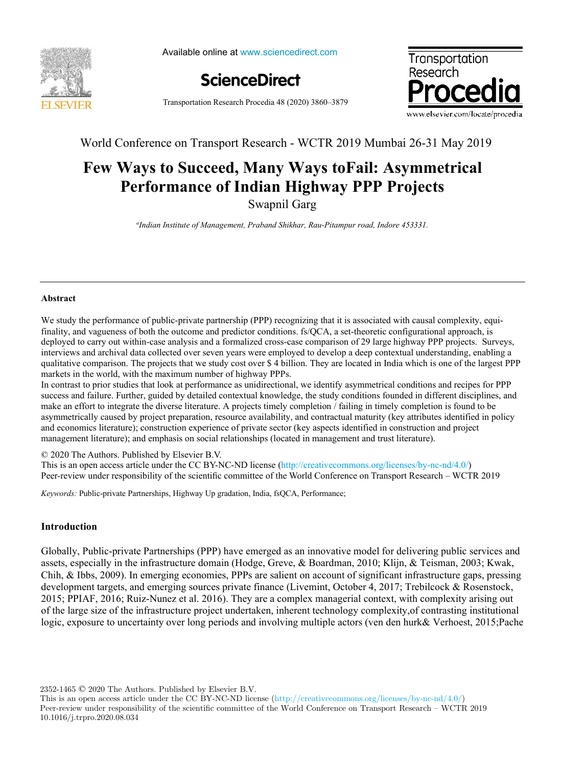

Available online at www.sciencedirect.com





Transportation Research Procedia 48 (2020) 3860–3879

World Conference on Transport Research - WCTR 2019 Mumbai 26-31 May 2019

# **Few Ways to Succeed, Many Ways toFail: Asymmetrical Performance of Indian Highway PPP Projects**

Swapnil Garg

*a Indian Institute of Management, Praband Shikhar, Rau-Pitampur road, Indore 453331.*

#### **Abstract**

We study the performance of public-private partnership (PPP) recognizing that it is associated with causal complexity, equifinality, and vagueness of both the outcome and predictor conditions. fs/QCA, a set-theoretic configurational approach, is deployed to carry out within-case analysis and a formalized cross-case comparison of 29 large highway PPP projects. Surveys, interviews and archival data collected over seven years were employed to develop a deep contextual understanding, enabling a qualitative comparison. The projects that we study cost over \$ 4 billion. They are located in India which is one of the largest PPP markets in the world, with the maximum number of highway PPPs.

In contrast to prior studies that look at performance as unidirectional, we identify asymmetrical conditions and recipes for PPP success and failure. Further, guided by detailed contextual knowledge, the study conditions founded in different disciplines, and make an effort to integrate the diverse literature. A projects timely completion / failing in timely completion is found to be asymmetrically caused by project preparation, resource availability, and contractual maturity (key attributes identified in policy and economics literature); construction experience of private sector (key aspects identified in construction and project management literature); and emphasis on social relationships (located in management and trust literature).

© 2020 The Authors. Published by Elsevier B.V.

This is an open access article under the CC BY-NC-ND license (http://creativecommons.org/licenses/by-nc-nd/4.0/) Peer-review under responsibility of the scientific committee of the World Conference on Transport Research – WCTR 2019

*Keywords:* Public-private Partnerships, Highway Up gradation, India, fsQCA, Performance;

# **Introduction**

Globally, Public-private Partnerships (PPP) have emerged as an innovative model for delivering public services and assets, especially in the infrastructure domain (Hodge, Greve, & Boardman, 2010; Klijn, & Teisman, 2003; Kwak, Chih, & Ibbs, 2009). In emerging economies, PPPs are salient on account of significant infrastructure gaps, pressing development targets, and emerging sources private finance (Livemint, October 4, 2017; Trebilcock & Rosenstock, 2015; PPIAF, 2016; Ruiz-Nunez et al. 2016). They are a complex managerial context, with complexity arising out of the large size of the infrastructure project undertaken, inherent technology complexity,of contrasting institutional logic, exposure to uncertainty over long periods and involving multiple actors (ven den hurk& Verhoest, 2015;Pache

2352-1465 © 2020 The Authors. Published by Elsevier B.V.

This is an open access article under the CC BY-NC-ND license (http://creativecommons.org/licenses/by-nc-nd/4.0/) Peer-review under responsibility of the scientific committee of the World Conference on Transport Research – WCTR 2019 10.1016/j.trpro.2020.08.034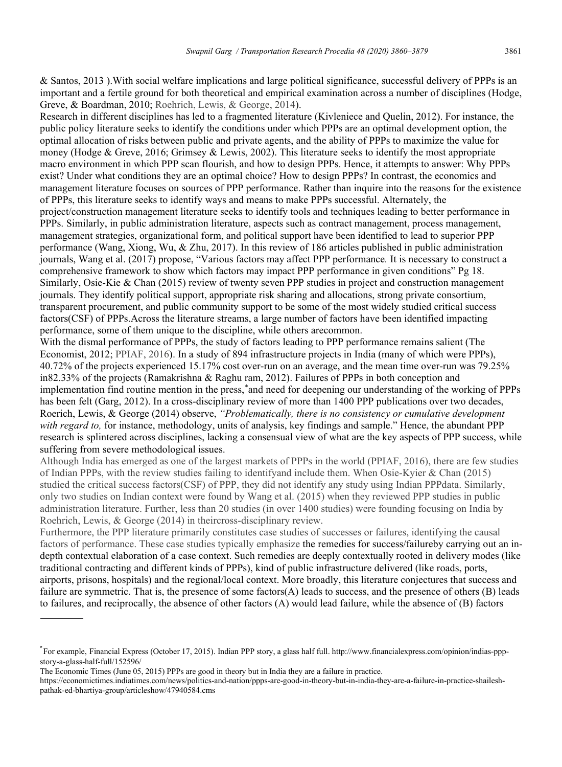& Santos, 2013 ).With social welfare implications and large political significance, successful delivery of PPPs is an important and a fertile ground for both theoretical and empirical examination across a number of disciplines (Hodge, Greve, & Boardman, 2010; Roehrich, Lewis, & George, 2014).

Research in different disciplines has led to a fragmented literature (Kivleniece and Quelin, 2012). For instance, the public policy literature seeks to identify the conditions under which PPPs are an optimal development option, the optimal allocation of risks between public and private agents, and the ability of PPPs to maximize the value for money (Hodge & Greve, 2016; Grimsey & Lewis, 2002). This literature seeks to identify the most appropriate macro environment in which PPP scan flourish, and how to design PPPs. Hence, it attempts to answer: Why PPPs exist? Under what conditions they are an optimal choice? How to design PPPs? In contrast, the economics and management literature focuses on sources of PPP performance. Rather than inquire into the reasons for the existence of PPPs, this literature seeks to identify ways and means to make PPPs successful. Alternately, the project/construction management literature seeks to identify tools and techniques leading to better performance in PPPs. Similarly, in public administration literature, aspects such as contract management, process management, management strategies, organizational form, and political support have been identified to lead to superior PPP performance (Wang, Xiong, Wu, & Zhu, 2017). In this review of 186 articles published in public administration journals, Wang et al. (2017) propose, "Various factors may affect PPP performance*.* It is necessary to construct a comprehensive framework to show which factors may impact PPP performance in given conditions" Pg 18. Similarly, Osie-Kie & Chan (2015) review of twenty seven PPP studies in project and construction management journals. They identify political support, appropriate risk sharing and allocations, strong private consortium, transparent procurement, and public community support to be some of the most widely studied critical success factors(CSF) of PPPs.Across the literature streams, a large number of factors have been identified impacting performance, some of them unique to the discipline, while others arecommon.

With the dismal performance of PPPs, the study of factors leading to PPP performance remains salient (The Economist, 2012; PPIAF, 2016). In a study of 894 infrastructure projects in India (many of which were PPPs), 40.72% of the projects experienced 15.17% cost over-run on an average, and the mean time over-run was 79.25% in82.33% of the projects (Ramakrishna & Raghu ram, 2012). Failures of PPPs in both conception and implementation find routine mention in the press,\* and need for deepening our understanding of the working of PPPs has been felt (Garg, 2012). In a cross-disciplinary review of more than 1400 PPP publications over two decades, Roerich, Lewis, & George (2014) observe, *"Problematically, there is no consistency or cumulative development with regard to,* for instance, methodology, units of analysis, key findings and sample." Hence, the abundant PPP research is splintered across disciplines, lacking a consensual view of what are the key aspects of PPP success, while suffering from severe methodological issues.

Although India has emerged as one of the largest markets of PPPs in the world (PPIAF, 2016), there are few studies of Indian PPPs, with the review studies failing to identifyand include them. When Osie-Kyier & Chan (2015) studied the critical success factors(CSF) of PPP, they did not identify any study using Indian PPPdata. Similarly, only two studies on Indian context were found by Wang et al. (2015) when they reviewed PPP studies in public administration literature. Further, less than 20 studies (in over 1400 studies) were founding focusing on India by Roehrich, Lewis, & George (2014) in theircross-disciplinary review.

Furthermore, the PPP literature primarily constitutes case studies of successes or failures, identifying the causal factors of performance. These case studies typically emphasize the remedies for success/failureby carrying out an indepth contextual elaboration of a case context. Such remedies are deeply contextually rooted in delivery modes (like traditional contracting and different kinds of PPPs), kind of public infrastructure delivered (like roads, ports, airports, prisons, hospitals) and the regional/local context. More broadly, this literature conjectures that success and failure are symmetric. That is, the presence of some factors(A) leads to success, and the presence of others (B) leads to failures, and reciprocally, the absence of other factors (A) would lead failure, while the absence of (B) factors

<sup>\*</sup> For example, Financial Express (October 17, 2015). Indian PPP story, a glass half full. http://www.financialexpress.com/opinion/indias-pppstory-a-glass-half-full/152596/

The Economic Times (June 05, 2015) PPPs are good in theory but in India they are a failure in practice.

https://economictimes.indiatimes.com/news/politics-and-nation/ppps-are-good-in-theory-but-in-india-they-are-a-failure-in-practice-shaileshpathak-ed-bhartiya-group/articleshow/47940584.cms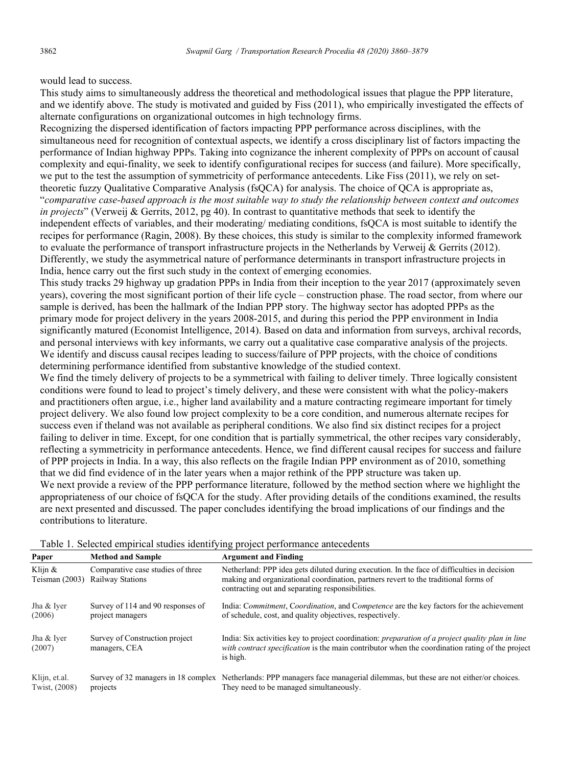would lead to success.

This study aims to simultaneously address the theoretical and methodological issues that plague the PPP literature, and we identify above. The study is motivated and guided by Fiss (2011), who empirically investigated the effects of alternate configurations on organizational outcomes in high technology firms.

Recognizing the dispersed identification of factors impacting PPP performance across disciplines, with the simultaneous need for recognition of contextual aspects, we identify a cross disciplinary list of factors impacting the performance of Indian highway PPPs. Taking into cognizance the inherent complexity of PPPs on account of causal complexity and equi-finality, we seek to identify configurational recipes for success (and failure). More specifically, we put to the test the assumption of symmetricity of performance antecedents. Like Fiss (2011), we rely on settheoretic fuzzy Qualitative Comparative Analysis (fsQCA) for analysis. The choice of QCA is appropriate as, "*comparative case-based approach is the most suitable way to study the relationship between context and outcomes in projects*" (Verweij & Gerrits, 2012, pg 40). In contrast to quantitative methods that seek to identify the independent effects of variables, and their moderating/ mediating conditions, fsQCA is most suitable to identify the recipes for performance (Ragin, 2008). By these choices, this study is similar to the complexity informed framework to evaluate the performance of transport infrastructure projects in the Netherlands by Verweij & Gerrits (2012). Differently, we study the asymmetrical nature of performance determinants in transport infrastructure projects in India, hence carry out the first such study in the context of emerging economies.

This study tracks 29 highway up gradation PPPs in India from their inception to the year 2017 (approximately seven years), covering the most significant portion of their life cycle – construction phase. The road sector, from where our sample is derived, has been the hallmark of the Indian PPP story. The highway sector has adopted PPPs as the primary mode for project delivery in the years 2008-2015, and during this period the PPP environment in India significantly matured (Economist Intelligence, 2014). Based on data and information from surveys, archival records, and personal interviews with key informants, we carry out a qualitative case comparative analysis of the projects. We identify and discuss causal recipes leading to success/failure of PPP projects, with the choice of conditions determining performance identified from substantive knowledge of the studied context.

We find the timely delivery of projects to be a symmetrical with failing to deliver timely. Three logically consistent conditions were found to lead to project's timely delivery, and these were consistent with what the policy-makers and practitioners often argue, i.e., higher land availability and a mature contracting regimeare important for timely project delivery. We also found low project complexity to be a core condition, and numerous alternate recipes for success even if theland was not available as peripheral conditions. We also find six distinct recipes for a project failing to deliver in time. Except, for one condition that is partially symmetrical, the other recipes vary considerably, reflecting a symmetricity in performance antecedents. Hence, we find different causal recipes for success and failure of PPP projects in India. In a way, this also reflects on the fragile Indian PPP environment as of 2010, something that we did find evidence of in the later years when a major rethink of the PPP structure was taken up. We next provide a review of the PPP performance literature, followed by the method section where we highlight the appropriateness of our choice of fsQCA for the study. After providing details of the conditions examined, the results are next presented and discussed. The paper concludes identifying the broad implications of our findings and the contributions to literature.

| Paper                          | <b>Method and Sample</b>                              | <b>Argument and Finding</b>                                                                                                                                                                                                            |
|--------------------------------|-------------------------------------------------------|----------------------------------------------------------------------------------------------------------------------------------------------------------------------------------------------------------------------------------------|
| Klijn $\&$<br>Teisman $(2003)$ | Comparative case studies of three<br>Railway Stations | Netherland: PPP idea gets diluted during execution. In the face of difficulties in decision<br>making and organizational coordination, partners revert to the traditional forms of<br>contracting out and separating responsibilities. |
| Jha & Iver<br>(2006)           | Survey of 114 and 90 responses of<br>project managers | India: <i>Commitment</i> , <i>Coordination</i> , and <i>Competence</i> are the key factors for the achievement<br>of schedule, cost, and quality objectives, respectively.                                                             |
| Jha & Iver<br>(2007)           | Survey of Construction project<br>managers, CEA       | India: Six activities key to project coordination: <i>preparation of a project quality plan in line</i><br>with contract specification is the main contributor when the coordination rating of the project<br>is high.                 |
| Klijn, et.al.<br>Twist, (2008) | projects                                              | Survey of 32 managers in 18 complex Netherlands: PPP managers face managerial dilemmas, but these are not either/or choices.<br>They need to be managed simultaneously.                                                                |

Table 1. Selected empirical studies identifying project performance antecedents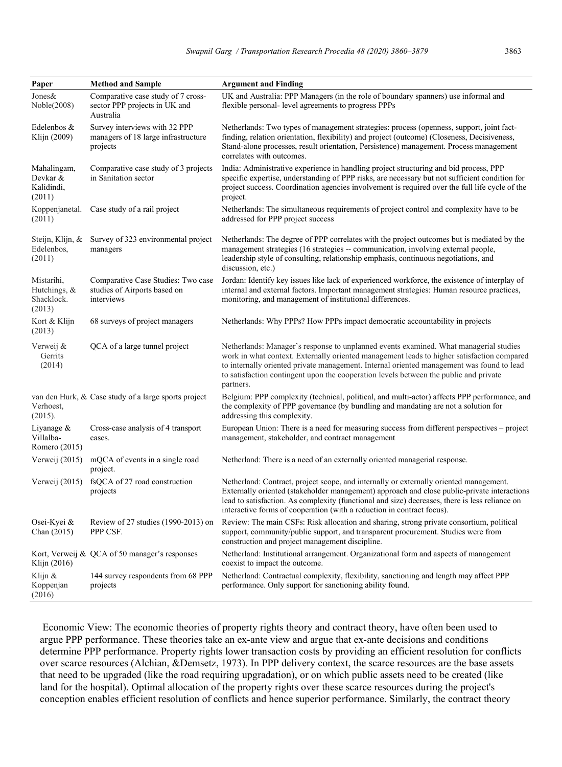| Paper                                              | <b>Method and Sample</b>                                                         | <b>Argument and Finding</b>                                                                                                                                                                                                                                                                                                                                                            |
|----------------------------------------------------|----------------------------------------------------------------------------------|----------------------------------------------------------------------------------------------------------------------------------------------------------------------------------------------------------------------------------------------------------------------------------------------------------------------------------------------------------------------------------------|
| Jones&<br>Noble(2008)                              | Comparative case study of 7 cross-<br>sector PPP projects in UK and<br>Australia | UK and Australia: PPP Managers (in the role of boundary spanners) use informal and<br>flexible personal- level agreements to progress PPPs                                                                                                                                                                                                                                             |
| Edelenbos &<br>Klijn (2009)                        | Survey interviews with 32 PPP<br>managers of 18 large infrastructure<br>projects | Netherlands: Two types of management strategies: process (openness, support, joint fact-<br>finding, relation orientation, flexibility) and project (outcome) (Closeness, Decisiveness,<br>Stand-alone processes, result orientation, Persistence) management. Process management<br>correlates with outcomes.                                                                         |
| Mahalingam,<br>Devkar &<br>Kalidindi,<br>(2011)    | Comparative case study of 3 projects<br>in Sanitation sector                     | India: Administrative experience in handling project structuring and bid process, PPP<br>specific expertise, understanding of PPP risks, are necessary but not sufficient condition for<br>project success. Coordination agencies involvement is required over the full life cycle of the<br>project.                                                                                  |
| Koppenjanetal.<br>(2011)                           | Case study of a rail project                                                     | Netherlands: The simultaneous requirements of project control and complexity have to be<br>addressed for PPP project success                                                                                                                                                                                                                                                           |
| Steijn, Klijn, &<br>Edelenbos,<br>(2011)           | Survey of 323 environmental project<br>managers                                  | Netherlands: The degree of PPP correlates with the project outcomes but is mediated by the<br>management strategies (16 strategies -- communication, involving external people,<br>leadership style of consulting, relationship emphasis, continuous negotiations, and<br>discussion, etc.)                                                                                            |
| Mistarihi,<br>Hutchings, &<br>Shacklock.<br>(2013) | Comparative Case Studies: Two case<br>studies of Airports based on<br>interviews | Jordan: Identify key issues like lack of experienced workforce, the existence of interplay of<br>internal and external factors. Important management strategies: Human resource practices,<br>monitoring, and management of institutional differences.                                                                                                                                 |
| Kort & Klijn<br>(2013)                             | 68 surveys of project managers                                                   | Netherlands: Why PPPs? How PPPs impact democratic accountability in projects                                                                                                                                                                                                                                                                                                           |
| Verweij &<br>Gerrits<br>(2014)                     | QCA of a large tunnel project                                                    | Netherlands: Manager's response to unplanned events examined. What managerial studies<br>work in what context. Externally oriented management leads to higher satisfaction compared<br>to internally oriented private management. Internal oriented management was found to lead<br>to satisfaction contingent upon the cooperation levels between the public and private<br>partners. |
| Verhoest,<br>(2015).                               | van den Hurk, & Case study of a large sports project                             | Belgium: PPP complexity (technical, political, and multi-actor) affects PPP performance, and<br>the complexity of PPP governance (by bundling and mandating are not a solution for<br>addressing this complexity.                                                                                                                                                                      |
| Liyanage $&$<br>Villalba-<br>Romero (2015)         | Cross-case analysis of 4 transport<br>cases.                                     | European Union: There is a need for measuring success from different perspectives – project<br>management, stakeholder, and contract management                                                                                                                                                                                                                                        |
| Verweij $(2015)$                                   | mQCA of events in a single road<br>project.                                      | Netherland: There is a need of an externally oriented managerial response.                                                                                                                                                                                                                                                                                                             |
| Verweij $(2015)$                                   | fsQCA of 27 road construction<br>projects                                        | Netherland: Contract, project scope, and internally or externally oriented management.<br>Externally oriented (stakeholder management) approach and close public-private interactions<br>lead to satisfaction. As complexity (functional and size) decreases, there is less reliance on<br>interactive forms of cooperation (with a reduction in contract focus).                      |
| Osei-Kyei &<br>Chan $(2015)$                       | Review of 27 studies (1990-2013) on<br>PPP CSF.                                  | Review: The main CSFs: Risk allocation and sharing, strong private consortium, political<br>support, community/public support, and transparent procurement. Studies were from<br>construction and project management discipline.                                                                                                                                                       |
| Klijn $(2016)$                                     | Kort, Verweij & QCA of 50 manager's responses                                    | Netherland: Institutional arrangement. Organizational form and aspects of management<br>coexist to impact the outcome.                                                                                                                                                                                                                                                                 |
| Klijn $&$<br>Koppenjan<br>(2016)                   | 144 survey respondents from 68 PPP<br>projects                                   | Netherland: Contractual complexity, flexibility, sanctioning and length may affect PPP<br>performance. Only support for sanctioning ability found.                                                                                                                                                                                                                                     |

Economic View: The economic theories of property rights theory and contract theory, have often been used to argue PPP performance. These theories take an ex-ante view and argue that ex-ante decisions and conditions determine PPP performance. Property rights lower transaction costs by providing an efficient resolution for conflicts over scarce resources (Alchian, &Demsetz, 1973). In PPP delivery context, the scarce resources are the base assets that need to be upgraded (like the road requiring upgradation), or on which public assets need to be created (like land for the hospital). Optimal allocation of the property rights over these scarce resources during the project's conception enables efficient resolution of conflicts and hence superior performance. Similarly, the contract theory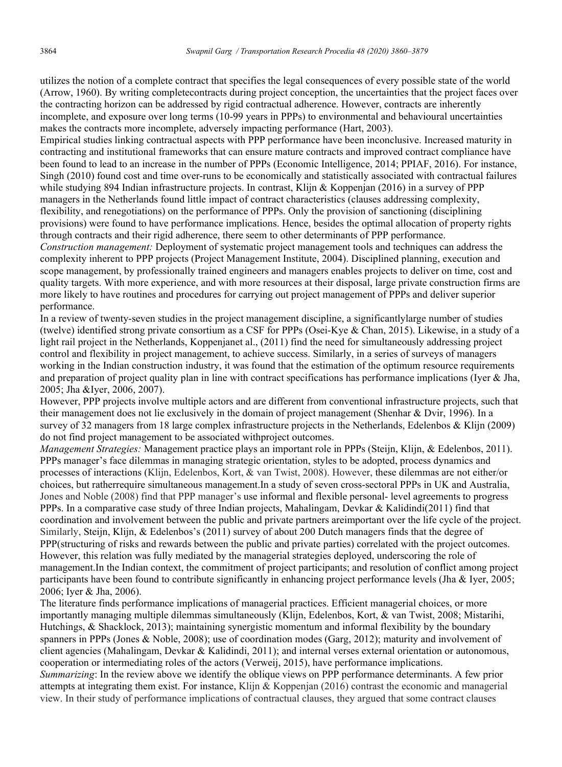utilizes the notion of a complete contract that specifies the legal consequences of every possible state of the world (Arrow, 1960). By writing completecontracts during project conception, the uncertainties that the project faces over the contracting horizon can be addressed by rigid contractual adherence. However, contracts are inherently incomplete, and exposure over long terms (10-99 years in PPPs) to environmental and behavioural uncertainties makes the contracts more incomplete, adversely impacting performance (Hart, 2003).

Empirical studies linking contractual aspects with PPP performance have been inconclusive. Increased maturity in contracting and institutional frameworks that can ensure mature contracts and improved contract compliance have been found to lead to an increase in the number of PPPs (Economic Intelligence, 2014; PPIAF, 2016). For instance, Singh (2010) found cost and time over-runs to be economically and statistically associated with contractual failures while studying 894 Indian infrastructure projects. In contrast, Klijn & Koppenjan (2016) in a survey of PPP managers in the Netherlands found little impact of contract characteristics (clauses addressing complexity, flexibility, and renegotiations) on the performance of PPPs. Only the provision of sanctioning (disciplining provisions) were found to have performance implications. Hence, besides the optimal allocation of property rights through contracts and their rigid adherence, there seem to other determinants of PPP performance.

*Construction management:* Deployment of systematic project management tools and techniques can address the complexity inherent to PPP projects (Project Management Institute, 2004). Disciplined planning, execution and scope management, by professionally trained engineers and managers enables projects to deliver on time, cost and quality targets. With more experience, and with more resources at their disposal, large private construction firms are more likely to have routines and procedures for carrying out project management of PPPs and deliver superior performance.

In a review of twenty-seven studies in the project management discipline, a significantlylarge number of studies (twelve) identified strong private consortium as a CSF for PPPs (Osei-Kye & Chan, 2015). Likewise, in a study of a light rail project in the Netherlands, Koppenjanet al., (2011) find the need for simultaneously addressing project control and flexibility in project management, to achieve success. Similarly, in a series of surveys of managers working in the Indian construction industry, it was found that the estimation of the optimum resource requirements and preparation of project quality plan in line with contract specifications has performance implications (Iyer  $\&$  Jha, 2005; Jha &Iyer, 2006, 2007).

However, PPP projects involve multiple actors and are different from conventional infrastructure projects, such that their management does not lie exclusively in the domain of project management (Shenhar & Dvir, 1996). In a survey of 32 managers from 18 large complex infrastructure projects in the Netherlands, Edelenbos & Klijn (2009) do not find project management to be associated withproject outcomes.

*Management Strategies:* Management practice plays an important role in PPPs (Steijn, Klijn, & Edelenbos, 2011). PPPs manager's face dilemmas in managing strategic orientation, styles to be adopted, process dynamics and processes of interactions (Klijn, Edelenbos, Kort, & van Twist, 2008). However, these dilemmas are not either/or choices, but ratherrequire simultaneous management.In a study of seven cross-sectoral PPPs in UK and Australia, Jones and Noble (2008) find that PPP manager's use informal and flexible personal- level agreements to progress PPPs. In a comparative case study of three Indian projects, Mahalingam, Devkar & Kalidindi(2011) find that coordination and involvement between the public and private partners areimportant over the life cycle of the project. Similarly, Steijn, Klijn, & Edelenbos's (2011) survey of about 200 Dutch managers finds that the degree of PPP(structuring of risks and rewards between the public and private parties) correlated with the project outcomes. However, this relation was fully mediated by the managerial strategies deployed, underscoring the role of management.In the Indian context, the commitment of project participants; and resolution of conflict among project participants have been found to contribute significantly in enhancing project performance levels (Jha & Iyer, 2005; 2006; Iyer & Jha, 2006).

The literature finds performance implications of managerial practices. Efficient managerial choices, or more importantly managing multiple dilemmas simultaneously (Klijn, Edelenbos, Kort, & van Twist, 2008; Mistarihi, Hutchings, & Shacklock, 2013); maintaining synergistic momentum and informal flexibility by the boundary spanners in PPPs (Jones & Noble, 2008); use of coordination modes (Garg, 2012); maturity and involvement of client agencies (Mahalingam, Devkar & Kalidindi, 2011); and internal verses external orientation or autonomous, cooperation or intermediating roles of the actors (Verweij, 2015), have performance implications. *Summarizing*: In the review above we identify the oblique views on PPP performance determinants. A few prior attempts at integrating them exist. For instance, Klijn & Koppenjan (2016) contrast the economic and managerial view. In their study of performance implications of contractual clauses, they argued that some contract clauses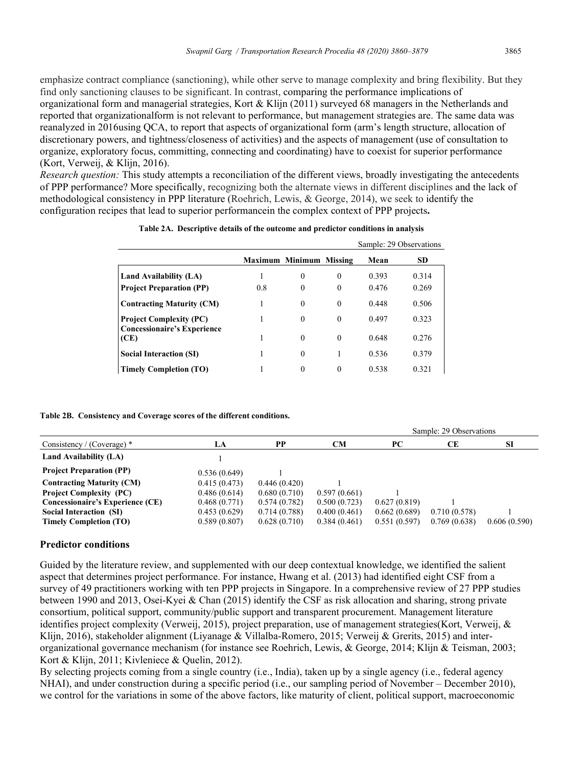emphasize contract compliance (sanctioning), while other serve to manage complexity and bring flexibility. But they find only sanctioning clauses to be significant. In contrast, comparing the performance implications of organizational form and managerial strategies, Kort & Klijn (2011) surveyed 68 managers in the Netherlands and reported that organizationalform is not relevant to performance, but management strategies are. The same data was reanalyzed in 2016using QCA, to report that aspects of organizational form (arm's length structure, allocation of discretionary powers, and tightness/closeness of activities) and the aspects of management (use of consultation to organize, exploratory focus, committing, connecting and coordinating) have to coexist for superior performance (Kort, Verweij, & Klijn, 2016).

*Research question:* This study attempts a reconciliation of the different views, broadly investigating the antecedents of PPP performance? More specifically, recognizing both the alternate views in different disciplines and the lack of methodological consistency in PPP literature (Roehrich, Lewis, & George, 2014), we seek to identify the configuration recipes that lead to superior performancein the complex context of PPP projects**.**

|                                                                      |     |                                |          | Sample: 29 Observations |           |
|----------------------------------------------------------------------|-----|--------------------------------|----------|-------------------------|-----------|
|                                                                      |     | <b>Maximum Minimum Missing</b> |          | Mean                    | <b>SD</b> |
| Land Availability (LA)                                               |     | $\theta$                       | $\theta$ | 0.393                   | 0.314     |
| <b>Project Preparation (PP)</b>                                      | 0.8 | $\theta$                       | $\theta$ | 0.476                   | 0.269     |
| <b>Contracting Maturity (CM)</b>                                     |     | $\theta$                       | $\theta$ | 0.448                   | 0.506     |
| <b>Project Complexity (PC)</b><br><b>Concessionaire's Experience</b> |     | $\theta$                       | $\theta$ | 0.497                   | 0.323     |
| (CE)                                                                 |     | $\theta$                       | $\theta$ | 0.648                   | 0.276     |
| <b>Social Interaction (SI)</b>                                       |     | $\theta$                       | 1        | 0.536                   | 0.379     |
| <b>Timely Completion (TO)</b>                                        |     | $\theta$                       | $\theta$ | 0.538                   | 0.321     |

| Table 2A. Descriptive details of the outcome and predictor conditions in analysis |  |  |
|-----------------------------------------------------------------------------------|--|--|
|                                                                                   |  |  |

**Table 2B. Consistency and Coverage scores of the different conditions.** 

|                                         |              |              |              |              | Sample: 29 Observations |              |
|-----------------------------------------|--------------|--------------|--------------|--------------|-------------------------|--------------|
| Consistency / (Coverage) *              | LA           | <b>PP</b>    | <b>CM</b>    | PС           | CE                      | <b>SI</b>    |
| Land Availability (LA)                  |              |              |              |              |                         |              |
| <b>Project Preparation (PP)</b>         | 0.536(0.649) |              |              |              |                         |              |
| <b>Contracting Maturity (CM)</b>        | 0.415(0.473) | 0.446(0.420) |              |              |                         |              |
| <b>Project Complexity (PC)</b>          | 0.486(0.614) | 0.680(0.710) | 0.597(0.661) |              |                         |              |
| <b>Concessionaire's Experience (CE)</b> | 0.468(0.771) | 0.574(0.782) | 0.500(0.723) | 0.627(0.819) |                         |              |
| Social Interaction (SI)                 | 0.453(0.629) | 0.714(0.788) | 0.400(0.461) | 0.662(0.689) | 0.710(0.578)            |              |
| <b>Timely Completion (TO)</b>           | 0.589(0.807) | 0.628(0.710) | 0.384(0.461) | 0.551(0.597) | 0.769(0.638)            | 0.606(0.590) |

# **Predictor conditions**

Guided by the literature review, and supplemented with our deep contextual knowledge, we identified the salient aspect that determines project performance. For instance, Hwang et al. (2013) had identified eight CSF from a survey of 49 practitioners working with ten PPP projects in Singapore. In a comprehensive review of 27 PPP studies between 1990 and 2013, Osei-Kyei & Chan (2015) identify the CSF as risk allocation and sharing, strong private consortium, political support, community/public support and transparent procurement. Management literature identifies project complexity (Verweij, 2015), project preparation, use of management strategies(Kort, Verweij, & Klijn, 2016), stakeholder alignment (Liyanage & Villalba-Romero, 2015; Verweij & Grerits, 2015) and interorganizational governance mechanism (for instance see Roehrich, Lewis, & George, 2014; Klijn & Teisman, 2003; Kort & Klijn, 2011; Kivleniece & Quelin, 2012).

By selecting projects coming from a single country (i.e., India), taken up by a single agency (i.e., federal agency NHAI), and under construction during a specific period (i.e., our sampling period of November – December 2010), we control for the variations in some of the above factors, like maturity of client, political support, macroeconomic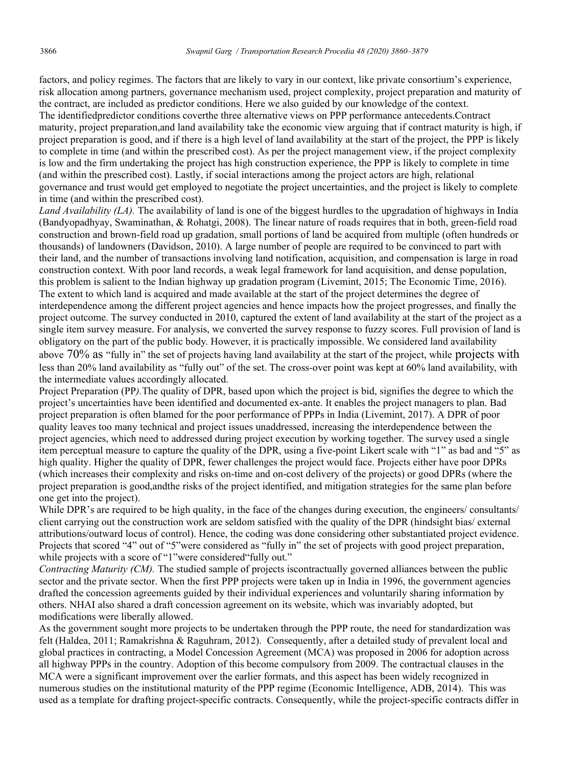factors, and policy regimes. The factors that are likely to vary in our context, like private consortium's experience, risk allocation among partners, governance mechanism used, project complexity, project preparation and maturity of the contract, are included as predictor conditions. Here we also guided by our knowledge of the context. The identifiedpredictor conditions coverthe three alternative views on PPP performance antecedents.Contract maturity, project preparation,and land availability take the economic view arguing that if contract maturity is high, if project preparation is good, and if there is a high level of land availability at the start of the project, the PPP is likely to complete in time (and within the prescribed cost). As per the project management view, if the project complexity is low and the firm undertaking the project has high construction experience, the PPP is likely to complete in time (and within the prescribed cost). Lastly, if social interactions among the project actors are high, relational governance and trust would get employed to negotiate the project uncertainties, and the project is likely to complete in time (and within the prescribed cost).

*Land Availability (LA).* The availability of land is one of the biggest hurdles to the upgradation of highways in India (Bandyopadhyay, Swaminathan, & Rohatgi, 2008). The linear nature of roads requires that in both, green-field road construction and brown-field road up gradation, small portions of land be acquired from multiple (often hundreds or thousands) of landowners (Davidson, 2010). A large number of people are required to be convinced to part with their land, and the number of transactions involving land notification, acquisition, and compensation is large in road construction context. With poor land records, a weak legal framework for land acquisition, and dense population, this problem is salient to the Indian highway up gradation program (Livemint, 2015; The Economic Time, 2016). The extent to which land is acquired and made available at the start of the project determines the degree of interdependence among the different project agencies and hence impacts how the project progresses, and finally the project outcome. The survey conducted in 2010, captured the extent of land availability at the start of the project as a single item survey measure. For analysis, we converted the survey response to fuzzy scores. Full provision of land is obligatory on the part of the public body. However, it is practically impossible. We considered land availability above  $70\%$  as "fully in" the set of projects having land availability at the start of the project, while projects with less than 20% land availability as "fully out" of the set. The cross-over point was kept at 60% land availability, with the intermediate values accordingly allocated.

Project Preparation (PP*).*The quality of DPR, based upon which the project is bid, signifies the degree to which the project's uncertainties have been identified and documented ex-ante. It enables the project managers to plan. Bad project preparation is often blamed for the poor performance of PPPs in India (Livemint, 2017). A DPR of poor quality leaves too many technical and project issues unaddressed, increasing the interdependence between the project agencies, which need to addressed during project execution by working together. The survey used a single item perceptual measure to capture the quality of the DPR, using a five-point Likert scale with "1" as bad and "5" as high quality. Higher the quality of DPR, fewer challenges the project would face. Projects either have poor DPRs (which increases their complexity and risks on-time and on-cost delivery of the projects) or good DPRs (where the project preparation is good,andthe risks of the project identified, and mitigation strategies for the same plan before one get into the project).

While DPR's are required to be high quality, in the face of the changes during execution, the engineers/ consultants/ client carrying out the construction work are seldom satisfied with the quality of the DPR (hindsight bias/ external attributions/outward locus of control). Hence, the coding was done considering other substantiated project evidence. Projects that scored "4" out of "5"were considered as "fully in" the set of projects with good project preparation, while projects with a score of "1"were considered "fully out."

*Contracting Maturity (CM).* The studied sample of projects iscontractually governed alliances between the public sector and the private sector. When the first PPP projects were taken up in India in 1996, the government agencies drafted the concession agreements guided by their individual experiences and voluntarily sharing information by others. NHAI also shared a draft concession agreement on its website, which was invariably adopted, but modifications were liberally allowed.

As the government sought more projects to be undertaken through the PPP route, the need for standardization was felt (Haldea, 2011; Ramakrishna & Raguhram, 2012). Consequently, after a detailed study of prevalent local and global practices in contracting, a Model Concession Agreement (MCA) was proposed in 2006 for adoption across all highway PPPs in the country. Adoption of this become compulsory from 2009. The contractual clauses in the MCA were a significant improvement over the earlier formats, and this aspect has been widely recognized in numerous studies on the institutional maturity of the PPP regime (Economic Intelligence, ADB, 2014). This was used as a template for drafting project-specific contracts. Consequently, while the project-specific contracts differ in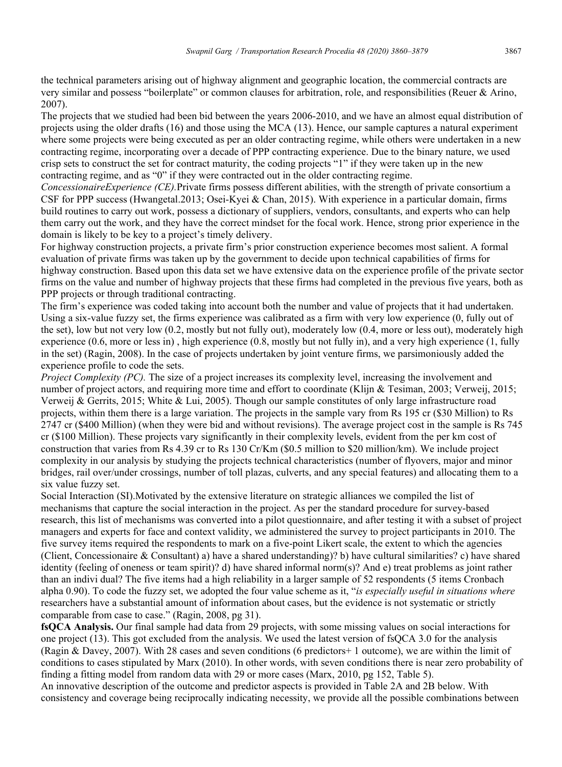the technical parameters arising out of highway alignment and geographic location, the commercial contracts are very similar and possess "boilerplate" or common clauses for arbitration, role, and responsibilities (Reuer & Arino, 2007).

The projects that we studied had been bid between the years 2006-2010, and we have an almost equal distribution of projects using the older drafts (16) and those using the MCA (13). Hence, our sample captures a natural experiment where some projects were being executed as per an older contracting regime, while others were undertaken in a new contracting regime, incorporating over a decade of PPP contracting experience. Due to the binary nature, we used crisp sets to construct the set for contract maturity, the coding projects "1" if they were taken up in the new contracting regime, and as "0" if they were contracted out in the older contracting regime.

*ConcessionaireExperience (CE).*Private firms possess different abilities, with the strength of private consortium a CSF for PPP success (Hwangetal.2013; Osei-Kyei & Chan, 2015). With experience in a particular domain, firms build routines to carry out work, possess a dictionary of suppliers, vendors, consultants, and experts who can help them carry out the work, and they have the correct mindset for the focal work. Hence, strong prior experience in the domain is likely to be key to a project's timely delivery.

For highway construction projects, a private firm's prior construction experience becomes most salient. A formal evaluation of private firms was taken up by the government to decide upon technical capabilities of firms for highway construction. Based upon this data set we have extensive data on the experience profile of the private sector firms on the value and number of highway projects that these firms had completed in the previous five years, both as PPP projects or through traditional contracting.

The firm's experience was coded taking into account both the number and value of projects that it had undertaken. Using a six-value fuzzy set, the firms experience was calibrated as a firm with very low experience (0, fully out of the set), low but not very low (0.2, mostly but not fully out), moderately low (0.4, more or less out), moderately high experience  $(0.6, \text{more or less in})$ , high experience  $(0.8, \text{mostly but not fully in})$ , and a very high experience  $(1, \text{fully in})$ in the set) (Ragin, 2008). In the case of projects undertaken by joint venture firms, we parsimoniously added the experience profile to code the sets.

*Project Complexity (PC).* The size of a project increases its complexity level, increasing the involvement and number of project actors, and requiring more time and effort to coordinate (Klijn & Tesiman, 2003; Verweij, 2015; Verweij & Gerrits, 2015; White & Lui, 2005). Though our sample constitutes of only large infrastructure road projects, within them there is a large variation. The projects in the sample vary from Rs 195 cr (\$30 Million) to Rs 2747 cr (\$400 Million) (when they were bid and without revisions). The average project cost in the sample is Rs 745 cr (\$100 Million). These projects vary significantly in their complexity levels, evident from the per km cost of construction that varies from Rs 4.39 cr to Rs 130 Cr/Km (\$0.5 million to \$20 million/km). We include project complexity in our analysis by studying the projects technical characteristics (number of flyovers, major and minor bridges, rail over/under crossings, number of toll plazas, culverts, and any special features) and allocating them to a six value fuzzy set.

Social Interaction (SI).Motivated by the extensive literature on strategic alliances we compiled the list of mechanisms that capture the social interaction in the project. As per the standard procedure for survey-based research, this list of mechanisms was converted into a pilot questionnaire, and after testing it with a subset of project managers and experts for face and context validity, we administered the survey to project participants in 2010. The five survey items required the respondents to mark on a five-point Likert scale, the extent to which the agencies (Client, Concessionaire & Consultant) a) have a shared understanding)? b) have cultural similarities? c) have shared identity (feeling of oneness or team spirit)? d) have shared informal norm(s)? And e) treat problems as joint rather than an indivi dual? The five items had a high reliability in a larger sample of 52 respondents (5 items Cronbach alpha 0.90). To code the fuzzy set, we adopted the four value scheme as it, "*is especially useful in situations where*  researchers have a substantial amount of information about cases, but the evidence is not systematic or strictly comparable from case to case." (Ragin, 2008, pg 31).

**fsQCA Analysis.** Our final sample had data from 29 projects, with some missing values on social interactions for one project (13). This got excluded from the analysis. We used the latest version of fsQCA 3.0 for the analysis (Ragin & Davey, 2007). With 28 cases and seven conditions (6 predictors+ 1 outcome), we are within the limit of conditions to cases stipulated by Marx (2010). In other words, with seven conditions there is near zero probability of finding a fitting model from random data with 29 or more cases (Marx, 2010, pg 152, Table 5).

An innovative description of the outcome and predictor aspects is provided in Table 2A and 2B below. With consistency and coverage being reciprocally indicating necessity, we provide all the possible combinations between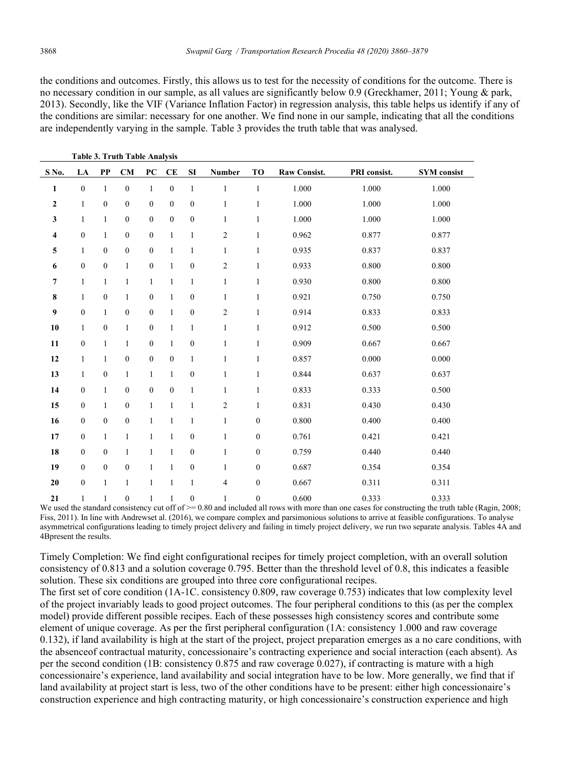the conditions and outcomes. Firstly, this allows us to test for the necessity of conditions for the outcome. There is no necessary condition in our sample, as all values are significantly below 0.9 (Greckhamer, 2011; Young & park, 2013). Secondly, like the VIF (Variance Inflation Factor) in regression analysis, this table helps us identify if any of the conditions are similar: necessary for one another. We find none in our sample, indicating that all the conditions are independently varying in the sample. Table 3 provides the truth table that was analysed.

|              |                  |                | <b>Table 3. Truth Table Analysis</b> |                  |                  |                  |                |                  |                     |              |                    |
|--------------|------------------|----------------|--------------------------------------|------------------|------------------|------------------|----------------|------------------|---------------------|--------------|--------------------|
| S No.        | LA               | <b>PP</b>      | CM                                   | PC               | CE               | <b>SI</b>        | <b>Number</b>  | T <sub>O</sub>   | <b>Raw Consist.</b> | PRI consist. | <b>SYM</b> consist |
| $\mathbf{1}$ | $\boldsymbol{0}$ | $\mathbf{1}$   | $\mathbf{0}$                         | $\mathbf{1}$     | $\boldsymbol{0}$ | $\mathbf{1}$     | $\mathbf{1}$   | $\mathbf{1}$     | 1.000               | 1.000        | 1.000              |
| $\mathbf{2}$ | $\mathbf{1}$     | $\mathbf{0}$   | $\mathbf{0}$                         | $\overline{0}$   | $\overline{0}$   | $\boldsymbol{0}$ | 1              | $\mathbf{1}$     | 1.000               | 1.000        | 1.000              |
| 3            | $\mathbf{1}$     | $\mathbf{1}$   | $\boldsymbol{0}$                     | $\mathbf{0}$     | $\boldsymbol{0}$ | $\boldsymbol{0}$ | 1              | $\mathbf{1}$     | 1.000               | 1.000        | 1.000              |
| 4            | $\mathbf{0}$     | $\mathbf{1}$   | $\mathbf{0}$                         | $\boldsymbol{0}$ | $\mathbf{1}$     | $\mathbf{1}$     | $\overline{c}$ | $\mathbf{1}$     | 0.962               | 0.877        | 0.877              |
| 5            | $\mathbf{1}$     | $\overline{0}$ | $\mathbf{0}$                         | $\mathbf{0}$     | $\mathbf{1}$     | $\mathbf{1}$     | 1              | $\mathbf{1}$     | 0.935               | 0.837        | 0.837              |
| 6            | $\mathbf{0}$     | $\overline{0}$ | $\mathbf{1}$                         | $\mathbf{0}$     | $\mathbf{1}$     | $\boldsymbol{0}$ | $\overline{2}$ | $\mathbf{1}$     | 0.933               | 0.800        | 0.800              |
| 7            | $\mathbf{1}$     | $\mathbf{1}$   | $\mathbf{1}$                         | $\mathbf{1}$     | $\mathbf{1}$     | $\mathbf{1}$     | $\mathbf{1}$   | $\mathbf{1}$     | 0.930               | 0.800        | 0.800              |
| 8            | $\mathbf{1}$     | $\overline{0}$ | $\mathbf{1}$                         | $\mathbf{0}$     | $\mathbf{1}$     | $\boldsymbol{0}$ | 1              | $\mathbf{1}$     | 0.921               | 0.750        | 0.750              |
| 9            | $\mathbf{0}$     | $\mathbf{1}$   | $\mathbf{0}$                         | $\mathbf{0}$     | $\mathbf{1}$     | $\boldsymbol{0}$ | $\mathfrak{2}$ | $\mathbf{1}$     | 0.914               | 0.833        | 0.833              |
| 10           | $\mathbf{1}$     | $\overline{0}$ | $\mathbf{1}$                         | $\mathbf{0}$     | $\mathbf{1}$     | $\mathbf{1}$     | $\mathbf{1}$   | $\mathbf{1}$     | 0.912               | 0.500        | 0.500              |
| 11           | $\boldsymbol{0}$ | $\mathbf{1}$   | $\mathbf{1}$                         | $\boldsymbol{0}$ | $\mathbf{1}$     | $\boldsymbol{0}$ | 1              | $\mathbf{1}$     | 0.909               | 0.667        | 0.667              |
| 12           | $\mathbf{1}$     | $\mathbf{1}$   | $\mathbf{0}$                         | $\mathbf{0}$     | $\boldsymbol{0}$ | $\mathbf{1}$     | 1              | 1                | 0.857               | 0.000        | 0.000              |
| 13           | $\mathbf{1}$     | $\overline{0}$ | $\mathbf{1}$                         | $\mathbf{1}$     | $\mathbf{1}$     | $\boldsymbol{0}$ | $\mathbf{1}$   | $\mathbf{1}$     | 0.844               | 0.637        | 0.637              |
| 14           | $\mathbf{0}$     | $\mathbf{1}$   | $\mathbf{0}$                         | $\overline{0}$   | $\boldsymbol{0}$ | $\mathbf{1}$     | $\mathbf{1}$   | 1                | 0.833               | 0.333        | 0.500              |
| 15           | $\mathbf{0}$     | $\mathbf{1}$   | $\boldsymbol{0}$                     | $\mathbf{1}$     | $\mathbf{1}$     | $\mathbf{1}$     | $\overline{c}$ | 1                | 0.831               | 0.430        | 0.430              |
| 16           | $\mathbf{0}$     | $\overline{0}$ | $\mathbf{0}$                         | $\mathbf{1}$     | $\mathbf{1}$     | $\mathbf{1}$     | $\mathbf{1}$   | $\mathbf{0}$     | 0.800               | 0.400        | 0.400              |
| 17           | $\mathbf{0}$     | $\mathbf{1}$   | $\mathbf{1}$                         | $\mathbf{1}$     | $\mathbf{1}$     | $\boldsymbol{0}$ | 1              | $\boldsymbol{0}$ | 0.761               | 0.421        | 0.421              |
| 18           | $\mathbf{0}$     | $\overline{0}$ | $\mathbf{1}$                         | $\mathbf{1}$     | $\mathbf{1}$     | $\boldsymbol{0}$ | $\mathbf{1}$   | $\boldsymbol{0}$ | 0.759               | 0.440        | 0.440              |
| 19           | $\mathbf{0}$     | $\overline{0}$ | $\mathbf{0}$                         | $\mathbf{1}$     | $\mathbf{1}$     | $\boldsymbol{0}$ | $\mathbf{1}$   | $\mathbf{0}$     | 0.687               | 0.354        | 0.354              |
| 20           | $\boldsymbol{0}$ | $\mathbf{1}$   | $\mathbf{1}$                         | $\mathbf{1}$     | $\mathbf{1}$     | $\mathbf{1}$     | $\overline{4}$ | $\boldsymbol{0}$ | 0.667               | 0.311        | 0.311              |
| 21           | $\mathbf{1}$     | $\mathbf{1}$   | $\mathbf{0}$                         | $\mathbf{1}$     | $\mathbf{1}$     | $\boldsymbol{0}$ | 1              | $\mathbf{0}$     | 0.600               | 0.333        | 0.333              |

We used the standard consistency cut off of  $>= 0.80$  and included all rows with more than one cases for constructing the truth table (Ragin, 2008; Fiss, 2011). In line with Andrewset al. (2016), we compare complex and parsimonious solutions to arrive at feasible configurations. To analyse asymmetrical configurations leading to timely project delivery and failing in timely project delivery, we run two separate analysis. Tables 4A and 4Bpresent the results.

Timely Completion: We find eight configurational recipes for timely project completion, with an overall solution consistency of 0.813 and a solution coverage 0.795. Better than the threshold level of 0.8, this indicates a feasible solution. These six conditions are grouped into three core configurational recipes.

The first set of core condition (1A-1C. consistency 0.809, raw coverage 0.753) indicates that low complexity level of the project invariably leads to good project outcomes. The four peripheral conditions to this (as per the complex model) provide different possible recipes. Each of these possesses high consistency scores and contribute some element of unique coverage. As per the first peripheral configuration (1A: consistency 1.000 and raw coverage 0.132), if land availability is high at the start of the project, project preparation emerges as a no care conditions, with the absenceof contractual maturity, concessionaire's contracting experience and social interaction (each absent). As per the second condition (1B: consistency 0.875 and raw coverage 0.027), if contracting is mature with a high concessionaire's experience, land availability and social integration have to be low. More generally, we find that if land availability at project start is less, two of the other conditions have to be present: either high concessionaire's construction experience and high contracting maturity, or high concessionaire's construction experience and high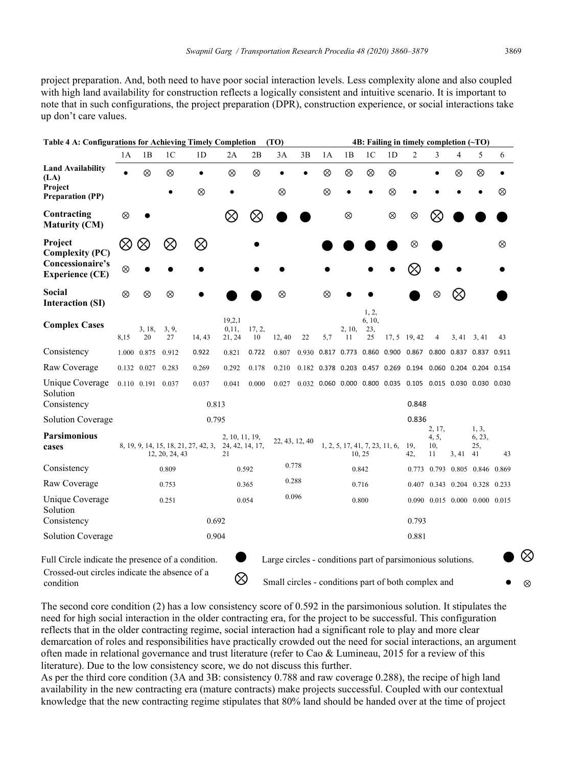project preparation. And, both need to have poor social interaction levels. Less complexity alone and also coupled with high land availability for construction reflects a logically consistent and intuitive scenario. It is important to note that in such configurations, the project preparation (DPR), construction experience, or social interactions take up don't care values.

| Table 4 A: Configurations for Achieving Timely Completion |            |                   |                |                                      |                                         |              | (TO)           |    |                               |                                |                              |                |                                                                      | 4B: Failing in timely completion (~TO) |                         |                              |                |
|-----------------------------------------------------------|------------|-------------------|----------------|--------------------------------------|-----------------------------------------|--------------|----------------|----|-------------------------------|--------------------------------|------------------------------|----------------|----------------------------------------------------------------------|----------------------------------------|-------------------------|------------------------------|----------------|
|                                                           | 1A         | 1B                | 1 <sup>C</sup> | 1 <sub>D</sub>                       | 2A                                      | 2B           | 3A             | 3B | 1A                            | 1B                             | 1 <sup>C</sup>               | 1 <sub>D</sub> | $\overline{c}$                                                       | 3                                      | 4                       | 5                            | 6              |
| <b>Land Availability</b><br>(LA)                          |            | $\otimes$         | $^{\circledR}$ | $\bullet$                            | $^{\circ}$                              | $\otimes$    | $\bullet$      |    | $^{\circ}$                    | $^{\circ}$                     | $\otimes$                    | $^{\circ}$     |                                                                      | $\bullet$                              | $^{\circledR}$          | ⊗                            | $\bullet$      |
| Project<br><b>Preparation (PP)</b>                        |            |                   | $\bullet$      | $^{\circ}$                           | ٠                                       |              | ⊗              |    | $^{\circ}$                    |                                |                              | $\otimes$      |                                                                      |                                        |                         |                              | ⊗              |
| Contracting<br><b>Maturity (CM)</b>                       | $^{\circ}$ |                   |                |                                      | ∝                                       | ∝            |                |    |                               | $^{\circledR}$                 |                              | $\otimes$      | $^{\circ}$                                                           | ∝                                      |                         |                              |                |
| Project<br><b>Complexity (PC)</b>                         | $\otimes$  | ⊗                 |                | ⊗                                    |                                         |              |                |    |                               |                                |                              |                | ⊗                                                                    |                                        |                         |                              | $^{\circledR}$ |
| Concessionaire's<br><b>Experience (CE)</b>                | ⊗          |                   |                |                                      |                                         |              |                |    |                               |                                |                              |                |                                                                      |                                        |                         |                              |                |
| Social<br><b>Interaction (SI)</b>                         | $\otimes$  | ⊗                 | ⊗              |                                      |                                         |              | $^{\circ}$     |    | ⊗                             |                                |                              |                |                                                                      | ⊗                                      |                         |                              |                |
| <b>Complex Cases</b>                                      | 8,15       | 3, 18,<br>20      | 3, 9,<br>27    | 14, 43                               | 19,2,1<br>0,11,<br>21, 24               | 17, 2,<br>10 | 12, 40         | 22 | 5,7                           | 2, 10,<br>11                   | 1, 2,<br>6, 10,<br>23,<br>25 |                | 17, 5 19, 42                                                         | 4                                      |                         | $3, 41$ $3, 41$              | 43             |
| Consistency                                               | 1.000      | 0.875             | 0.912          | 0.922                                | 0.821                                   | 0.722        | 0.807          |    | 0.930 0.817 0.773             |                                | 0.860                        | 0.900          | 0.867                                                                |                                        | 0.800 0.837 0.837 0.911 |                              |                |
| Raw Coverage                                              |            | 0.132 0.027       | 0.283          | 0.269                                | 0.292                                   | 0.178        | 0.210          |    | 0.182 0.378 0.203 0.457 0.269 |                                |                              |                | 0.194                                                                |                                        | 0.060 0.204 0.204 0.154 |                              |                |
| Unique Coverage<br>Solution<br>Consistency                |            | 0.110 0.191 0.037 |                | 0.037<br>0.813                       | 0.041                                   | 0.000        | 0.027          |    |                               |                                |                              |                | 0.032 0.060 0.000 0.800 0.035 0.105 0.015 0.030 0.030 0.030<br>0.848 |                                        |                         |                              |                |
| Solution Coverage                                         |            |                   |                | 0.795                                |                                         |              |                |    |                               |                                |                              |                | 0.836                                                                |                                        |                         |                              |                |
| <b>Parsimonious</b><br>cases                              |            |                   | 12, 20, 24, 43 | 8, 19, 9, 14, 15, 18, 21, 27, 42, 3, | 2, 10, 11, 19,<br>24, 42, 14, 17,<br>21 |              | 22, 43, 12, 40 |    |                               | 1, 2, 5, 17, 41, 7, 23, 11, 6, | 10, 25                       |                | 19,<br>42,                                                           | 2, 17,<br>4, 5,<br>10,<br>11           | 3, 41                   | 1, 3,<br>6, 23,<br>25,<br>41 | 43             |
| Consistency                                               |            |                   | 0.809          |                                      |                                         | 0.592        | 0.778          |    |                               |                                | 0.842                        |                | 0.773                                                                |                                        | 0.793 0.805 0.846 0.869 |                              |                |
| Raw Coverage                                              |            |                   | 0.753          |                                      |                                         | 0.365        | 0.288          |    |                               |                                | 0.716                        |                |                                                                      | 0.407 0.343 0.204 0.328 0.233          |                         |                              |                |
| Unique Coverage<br>Solution                               |            |                   | 0.251          |                                      |                                         | 0.054        | 0.096          |    |                               |                                | 0.800                        |                |                                                                      | 0.090 0.015 0.000 0.000 0.015          |                         |                              |                |
| Consistency                                               |            |                   |                | 0.692                                |                                         |              |                |    |                               |                                |                              |                | 0.793                                                                |                                        |                         |                              |                |
| Solution Coverage                                         |            |                   |                | 0.904                                |                                         |              |                |    |                               |                                |                              |                | 0.881                                                                |                                        |                         |                              |                |

The second core condition (2) has a low consistency score of 0.592 in the parsimonious solution. It stipulates the need for high social interaction in the older contracting era, for the project to be successful. This configuration reflects that in the older contracting regime, social interaction had a significant role to play and more clear demarcation of roles and responsibilities have practically crowded out the need for social interactions, an argument often made in relational governance and trust literature (refer to Cao & Lumineau, 2015 for a review of this literature). Due to the low consistency score, we do not discuss this further.

As per the third core condition (3A and 3B: consistency 0.788 and raw coverage 0.288), the recipe of high land availability in the new contracting era (mature contracts) make projects successful. Coupled with our contextual knowledge that the new contracting regime stipulates that 80% land should be handed over at the time of project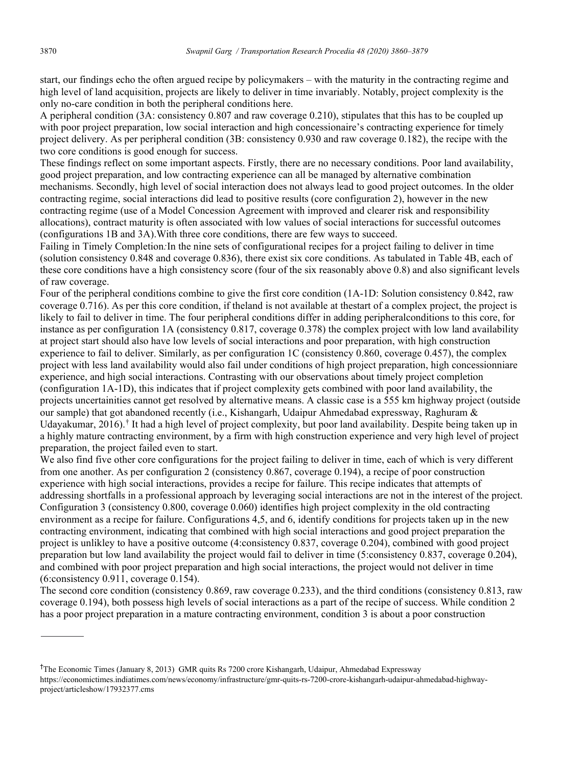start, our findings echo the often argued recipe by policymakers – with the maturity in the contracting regime and high level of land acquisition, projects are likely to deliver in time invariably. Notably, project complexity is the only no-care condition in both the peripheral conditions here.

A peripheral condition (3A: consistency 0.807 and raw coverage 0.210), stipulates that this has to be coupled up with poor project preparation, low social interaction and high concessionaire's contracting experience for timely project delivery. As per peripheral condition (3B: consistency 0.930 and raw coverage 0.182), the recipe with the two core conditions is good enough for success.

These findings reflect on some important aspects. Firstly, there are no necessary conditions. Poor land availability, good project preparation, and low contracting experience can all be managed by alternative combination mechanisms. Secondly, high level of social interaction does not always lead to good project outcomes. In the older contracting regime, social interactions did lead to positive results (core configuration 2), however in the new contracting regime (use of a Model Concession Agreement with improved and clearer risk and responsibility allocations), contract maturity is often associated with low values of social interactions for successful outcomes (configurations 1B and 3A).With three core conditions, there are few ways to succeed.

Failing in Timely Completion*:*In the nine sets of configurational recipes for a project failing to deliver in time (solution consistency 0.848 and coverage 0.836), there exist six core conditions. As tabulated in Table 4B, each of these core conditions have a high consistency score (four of the six reasonably above 0.8) and also significant levels of raw coverage.

Four of the peripheral conditions combine to give the first core condition (1A-1D: Solution consistency 0.842, raw coverage 0.716). As per this core condition, if theland is not available at thestart of a complex project, the project is likely to fail to deliver in time. The four peripheral conditions differ in adding peripheralconditions to this core, for instance as per configuration 1A (consistency 0.817, coverage 0.378) the complex project with low land availability at project start should also have low levels of social interactions and poor preparation, with high construction experience to fail to deliver. Similarly, as per configuration 1C (consistency 0.860, coverage 0.457), the complex project with less land availability would also fail under conditions of high project preparation, high concessionniare experience, and high social interactions. Contrasting with our observations about timely project completion (configuration 1A-1D), this indicates that if project complexity gets combined with poor land availability, the projects uncertainities cannot get resolved by alternative means. A classic case is a 555 km highway project (outside our sample) that got abandoned recently (i.e., Kishangarh, Udaipur Ahmedabad expressway, Raghuram & Udayakumar, 2016).† It had a high level of project complexity, but poor land availability. Despite being taken up in a highly mature contracting environment, by a firm with high construction experience and very high level of project preparation, the project failed even to start.

We also find five other core configurations for the project failing to deliver in time, each of which is very different from one another. As per configuration 2 (consistency 0.867, coverage 0.194), a recipe of poor construction experience with high social interactions, provides a recipe for failure. This recipe indicates that attempts of addressing shortfalls in a professional approach by leveraging social interactions are not in the interest of the project. Configuration 3 (consistency 0.800, coverage 0.060) identifies high project complexity in the old contracting environment as a recipe for failure. Configurations 4,5, and 6, identify conditions for projects taken up in the new contracting environment, indicating that combined with high social interactions and good project preparation the project is unlikley to have a positive outcome (4:consistency 0.837, coverage 0.204), combined with good project preparation but low land availability the project would fail to deliver in time (5:consistency 0.837, coverage 0.204), and combined with poor project preparation and high social interactions, the project would not deliver in time (6:consistency 0.911, coverage 0.154).

The second core condition (consistency 0.869, raw coverage 0.233), and the third conditions (consistency 0.813, raw coverage 0.194), both possess high levels of social interactions as a part of the recipe of success. While condition 2 has a poor project preparation in a mature contracting environment, condition 3 is about a poor construction

<sup>†</sup>The Economic Times (January 8, 2013) GMR quits Rs 7200 crore Kishangarh, Udaipur, Ahmedabad Expressway https://economictimes.indiatimes.com/news/economy/infrastructure/gmr-quits-rs-7200-crore-kishangarh-udaipur-ahmedabad-highwayproject/articleshow/17932377.cms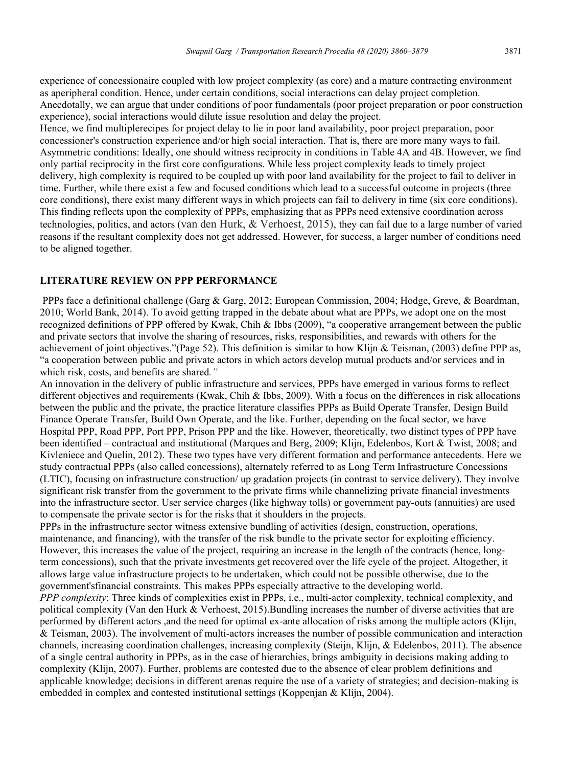experience of concessionaire coupled with low project complexity (as core) and a mature contracting environment as aperipheral condition. Hence, under certain conditions, social interactions can delay project completion. Anecdotally, we can argue that under conditions of poor fundamentals (poor project preparation or poor construction experience), social interactions would dilute issue resolution and delay the project.

Hence, we find multiplerecipes for project delay to lie in poor land availability, poor project preparation, poor concessioner's construction experience and/or high social interaction. That is, there are more many ways to fail. Asymmetric conditions: Ideally, one should witness reciprocity in conditions in Table 4A and 4B. However, we find only partial reciprocity in the first core configurations. While less project complexity leads to timely project delivery, high complexity is required to be coupled up with poor land availability for the project to fail to deliver in time. Further, while there exist a few and focused conditions which lead to a successful outcome in projects (three core conditions), there exist many different ways in which projects can fail to delivery in time (six core conditions). This finding reflects upon the complexity of PPPs, emphasizing that as PPPs need extensive coordination across technologies, politics, and actors (van den Hurk, & Verhoest, 2015), they can fail due to a large number of varied reasons if the resultant complexity does not get addressed. However, for success, a larger number of conditions need to be aligned together.

# **LITERATURE REVIEW ON PPP PERFORMANCE**

PPPs face a definitional challenge (Garg & Garg, 2012; European Commission, 2004; Hodge, Greve, & Boardman, 2010; World Bank, 2014). To avoid getting trapped in the debate about what are PPPs, we adopt one on the most recognized definitions of PPP offered by Kwak, Chih & Ibbs (2009), "a cooperative arrangement between the public and private sectors that involve the sharing of resources, risks, responsibilities, and rewards with others for the achievement of joint objectives."(Page 52). This definition is similar to how Klijn & Teisman, (2003) define PPP as, "a cooperation between public and private actors in which actors develop mutual products and/or services and in which risk, costs, and benefits are shared*."*

An innovation in the delivery of public infrastructure and services, PPPs have emerged in various forms to reflect different objectives and requirements (Kwak, Chih & Ibbs, 2009). With a focus on the differences in risk allocations between the public and the private, the practice literature classifies PPPs as Build Operate Transfer, Design Build Finance Operate Transfer, Build Own Operate, and the like. Further, depending on the focal sector, we have Hospital PPP, Road PPP, Port PPP, Prison PPP and the like. However, theoretically, two distinct types of PPP have been identified – contractual and institutional (Marques and Berg, 2009; Klijn, Edelenbos, Kort & Twist, 2008; and Kivleniece and Quelin, 2012). These two types have very different formation and performance antecedents. Here we study contractual PPPs (also called concessions), alternately referred to as Long Term Infrastructure Concessions (LTIC), focusing on infrastructure construction/ up gradation projects (in contrast to service delivery). They involve significant risk transfer from the government to the private firms while channelizing private financial investments into the infrastructure sector. User service charges (like highway tolls) or government pay-outs (annuities) are used to compensate the private sector is for the risks that it shoulders in the projects.

PPPs in the infrastructure sector witness extensive bundling of activities (design, construction, operations, maintenance, and financing), with the transfer of the risk bundle to the private sector for exploiting efficiency. However, this increases the value of the project, requiring an increase in the length of the contracts (hence, longterm concessions), such that the private investments get recovered over the life cycle of the project. Altogether, it allows large value infrastructure projects to be undertaken, which could not be possible otherwise, due to the government'sfinancial constraints. This makes PPPs especially attractive to the developing world.

*PPP complexity*: Three kinds of complexities exist in PPPs, i.e., multi-actor complexity, technical complexity, and political complexity (Van den Hurk & Verhoest, 2015).Bundling increases the number of diverse activities that are performed by different actors ,and the need for optimal ex-ante allocation of risks among the multiple actors (Klijn, & Teisman, 2003). The involvement of multi-actors increases the number of possible communication and interaction channels, increasing coordination challenges, increasing complexity (Steijn, Klijn, & Edelenbos, 2011). The absence of a single central authority in PPPs, as in the case of hierarchies, brings ambiguity in decisions making adding to complexity (Klijn, 2007). Further, problems are contested due to the absence of clear problem definitions and applicable knowledge; decisions in different arenas require the use of a variety of strategies; and decision-making is embedded in complex and contested institutional settings (Koppenjan & Klijn, 2004).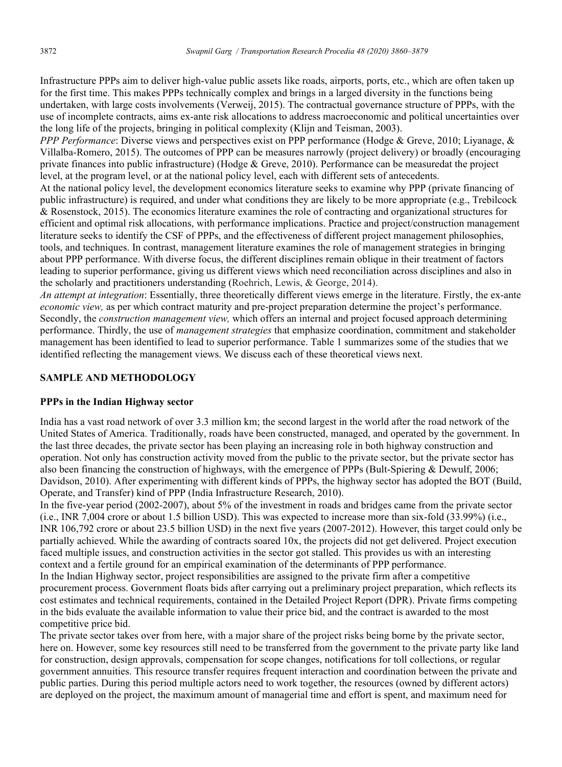Infrastructure PPPs aim to deliver high-value public assets like roads, airports, ports, etc., which are often taken up for the first time. This makes PPPs technically complex and brings in a larged diversity in the functions being undertaken, with large costs involvements (Verweij, 2015). The contractual governance structure of PPPs, with the use of incomplete contracts, aims ex-ante risk allocations to address macroeconomic and political uncertainties over the long life of the projects, bringing in political complexity (Klijn and Teisman, 2003).

*PPP Performance*: Diverse views and perspectives exist on PPP performance (Hodge & Greve, 2010; Liyanage, & Villalba-Romero, 2015). The outcomes of PPP can be measures narrowly (project delivery) or broadly (encouraging private finances into public infrastructure) (Hodge & Greve, 2010). Performance can be measuredat the project level, at the program level, or at the national policy level, each with different sets of antecedents.

At the national policy level, the development economics literature seeks to examine why PPP (private financing of public infrastructure) is required, and under what conditions they are likely to be more appropriate (e.g., Trebilcock & Rosenstock, 2015). The economics literature examines the role of contracting and organizational structures for efficient and optimal risk allocations, with performance implications. Practice and project/construction management literature seeks to identify the CSF of PPPs, and the effectiveness of different project management philosophies, tools, and techniques. In contrast, management literature examines the role of management strategies in bringing about PPP performance. With diverse focus, the different disciplines remain oblique in their treatment of factors leading to superior performance, giving us different views which need reconciliation across disciplines and also in the scholarly and practitioners understanding (Roehrich, Lewis, & George, 2014).

*An attempt at integration*: Essentially, three theoretically different views emerge in the literature. Firstly, the ex-ante *economic view,* as per which contract maturity and pre-project preparation determine the project's performance. Secondly, the *construction management view,* which offers an internal and project focused approach determining performance. Thirdly, the use of *management strategies* that emphasize coordination, commitment and stakeholder management has been identified to lead to superior performance. Table 1 summarizes some of the studies that we identified reflecting the management views. We discuss each of these theoretical views next.

#### **SAMPLE AND METHODOLOGY**

#### **PPPs in the Indian Highway sector**

India has a vast road network of over 3.3 million km; the second largest in the world after the road network of the United States of America. Traditionally, roads have been constructed, managed, and operated by the government. In the last three decades, the private sector has been playing an increasing role in both highway construction and operation. Not only has construction activity moved from the public to the private sector, but the private sector has also been financing the construction of highways, with the emergence of PPPs (Bult-Spiering & Dewulf, 2006; Davidson, 2010). After experimenting with different kinds of PPPs, the highway sector has adopted the BOT (Build, Operate, and Transfer) kind of PPP (India Infrastructure Research, 2010).

In the five-year period (2002-2007), about 5% of the investment in roads and bridges came from the private sector (i.e., INR 7,004 crore or about 1.5 billion USD). This was expected to increase more than six-fold (33.99%) (i.e., INR 106,792 crore or about 23.5 billion USD) in the next five years (2007-2012). However, this target could only be partially achieved. While the awarding of contracts soared 10x, the projects did not get delivered. Project execution faced multiple issues, and construction activities in the sector got stalled. This provides us with an interesting context and a fertile ground for an empirical examination of the determinants of PPP performance. In the Indian Highway sector, project responsibilities are assigned to the private firm after a competitive

procurement process. Government floats bids after carrying out a preliminary project preparation, which reflects its cost estimates and technical requirements, contained in the Detailed Project Report (DPR). Private firms competing in the bids evaluate the available information to value their price bid, and the contract is awarded to the most competitive price bid.

The private sector takes over from here, with a major share of the project risks being borne by the private sector, here on. However, some key resources still need to be transferred from the government to the private party like land for construction, design approvals, compensation for scope changes, notifications for toll collections, or regular government annuities. This resource transfer requires frequent interaction and coordination between the private and public parties. During this period multiple actors need to work together, the resources (owned by different actors) are deployed on the project, the maximum amount of managerial time and effort is spent, and maximum need for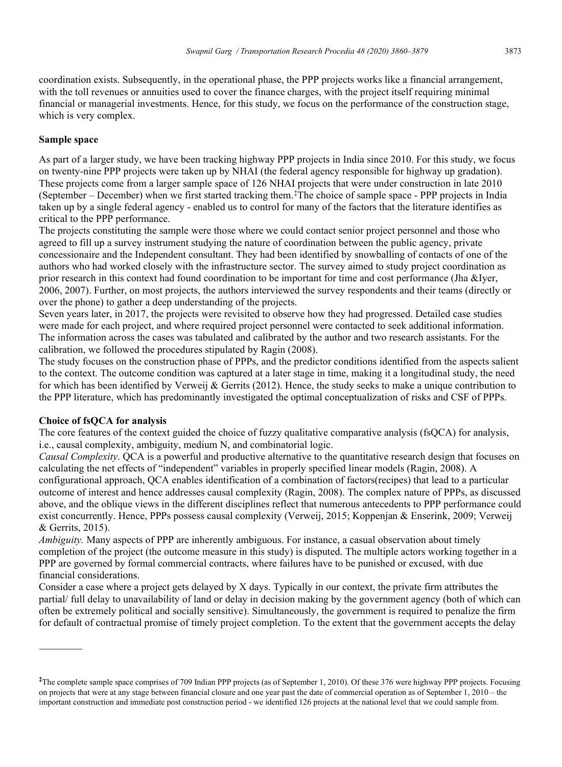coordination exists. Subsequently, in the operational phase, the PPP projects works like a financial arrangement, with the toll revenues or annuities used to cover the finance charges, with the project itself requiring minimal financial or managerial investments. Hence, for this study, we focus on the performance of the construction stage, which is very complex.

# **Sample space**

As part of a larger study, we have been tracking highway PPP projects in India since 2010. For this study, we focus on twenty-nine PPP projects were taken up by NHAI (the federal agency responsible for highway up gradation). These projects come from a larger sample space of 126 NHAI projects that were under construction in late 2010 (September – December) when we first started tracking them.‡The choice of sample space - PPP projects in India taken up by a single federal agency - enabled us to control for many of the factors that the literature identifies as critical to the PPP performance.

The projects constituting the sample were those where we could contact senior project personnel and those who agreed to fill up a survey instrument studying the nature of coordination between the public agency, private concessionaire and the Independent consultant. They had been identified by snowballing of contacts of one of the authors who had worked closely with the infrastructure sector. The survey aimed to study project coordination as prior research in this context had found coordination to be important for time and cost performance (Jha &Iyer, 2006, 2007). Further, on most projects, the authors interviewed the survey respondents and their teams (directly or over the phone) to gather a deep understanding of the projects.

Seven years later, in 2017, the projects were revisited to observe how they had progressed. Detailed case studies were made for each project, and where required project personnel were contacted to seek additional information. The information across the cases was tabulated and calibrated by the author and two research assistants. For the calibration, we followed the procedures stipulated by Ragin (2008).

The study focuses on the construction phase of PPPs, and the predictor conditions identified from the aspects salient to the context. The outcome condition was captured at a later stage in time, making it a longitudinal study, the need for which has been identified by Verweij & Gerrits (2012). Hence, the study seeks to make a unique contribution to the PPP literature, which has predominantly investigated the optimal conceptualization of risks and CSF of PPPs.

#### **Choice of fsQCA for analysis**

The core features of the context guided the choice of fuzzy qualitative comparative analysis (fsQCA) for analysis, i.e., causal complexity, ambiguity, medium N, and combinatorial logic.

*Causal Complexity*. QCA is a powerful and productive alternative to the quantitative research design that focuses on calculating the net effects of "independent" variables in properly specified linear models (Ragin, 2008). A configurational approach, QCA enables identification of a combination of factors(recipes) that lead to a particular outcome of interest and hence addresses causal complexity (Ragin, 2008). The complex nature of PPPs, as discussed above, and the oblique views in the different disciplines reflect that numerous antecedents to PPP performance could exist concurrently. Hence, PPPs possess causal complexity (Verweij, 2015; Koppenjan & Enserink, 2009; Verweij & Gerrits, 2015).

*Ambiguity*. Many aspects of PPP are inherently ambiguous. For instance, a casual observation about timely completion of the project (the outcome measure in this study) is disputed. The multiple actors working together in a PPP are governed by formal commercial contracts, where failures have to be punished or excused, with due financial considerations.

Consider a case where a project gets delayed by X days. Typically in our context, the private firm attributes the partial/ full delay to unavailability of land or delay in decision making by the government agency (both of which can often be extremely political and socially sensitive). Simultaneously, the government is required to penalize the firm for default of contractual promise of timely project completion. To the extent that the government accepts the delay

<sup>‡</sup>The complete sample space comprises of 709 Indian PPP projects (as of September 1, 2010). Of these 376 were highway PPP projects. Focusing on projects that were at any stage between financial closure and one year past the date of commercial operation as of September 1, 2010 – the important construction and immediate post construction period - we identified 126 projects at the national level that we could sample from.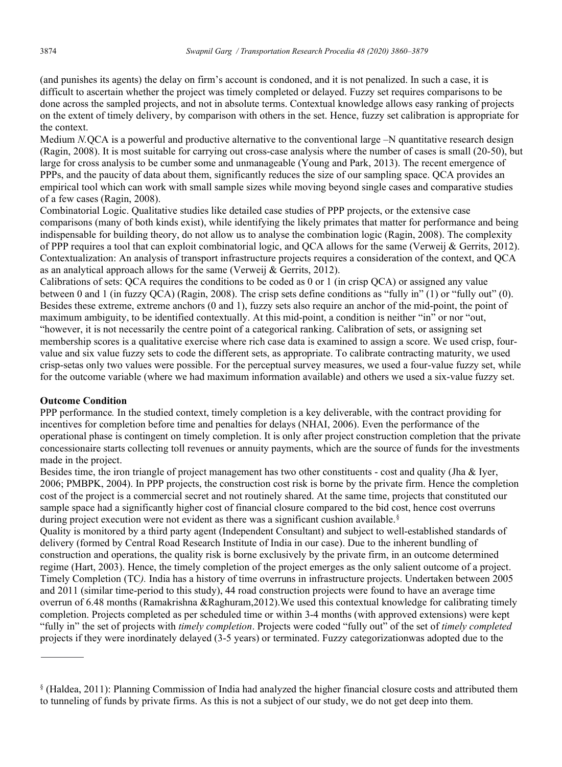(and punishes its agents) the delay on firm's account is condoned, and it is not penalized. In such a case, it is difficult to ascertain whether the project was timely completed or delayed. Fuzzy set requires comparisons to be done across the sampled projects, and not in absolute terms. Contextual knowledge allows easy ranking of projects on the extent of timely delivery, by comparison with others in the set. Hence, fuzzy set calibration is appropriate for the context.

Medium *N.*QCA is a powerful and productive alternative to the conventional large –N quantitative research design (Ragin, 2008). It is most suitable for carrying out cross-case analysis where the number of cases is small (20-50), but large for cross analysis to be cumber some and unmanageable (Young and Park, 2013). The recent emergence of PPPs, and the paucity of data about them, significantly reduces the size of our sampling space. QCA provides an empirical tool which can work with small sample sizes while moving beyond single cases and comparative studies of a few cases (Ragin, 2008).

Combinatorial Logic. Qualitative studies like detailed case studies of PPP projects, or the extensive case comparisons (many of both kinds exist), while identifying the likely primates that matter for performance and being indispensable for building theory, do not allow us to analyse the combination logic (Ragin, 2008). The complexity of PPP requires a tool that can exploit combinatorial logic, and QCA allows for the same (Verweij & Gerrits, 2012). Contextualization: An analysis of transport infrastructure projects requires a consideration of the context, and QCA as an analytical approach allows for the same (Verweij & Gerrits, 2012).

Calibrations of sets: QCA requires the conditions to be coded as 0 or 1 (in crisp QCA) or assigned any value between 0 and 1 (in fuzzy QCA) (Ragin, 2008). The crisp sets define conditions as "fully in" (1) or "fully out" (0). Besides these extreme, extreme anchors (0 and 1), fuzzy sets also require an anchor of the mid-point, the point of maximum ambiguity, to be identified contextually. At this mid-point, a condition is neither "in" or nor "out, "however, it is not necessarily the centre point of a categorical ranking. Calibration of sets, or assigning set membership scores is a qualitative exercise where rich case data is examined to assign a score. We used crisp, fourvalue and six value fuzzy sets to code the different sets, as appropriate. To calibrate contracting maturity, we used crisp-setas only two values were possible. For the perceptual survey measures, we used a four-value fuzzy set, while for the outcome variable (where we had maximum information available) and others we used a six-value fuzzy set.

# **Outcome Condition**

PPP performance*.* In the studied context, timely completion is a key deliverable, with the contract providing for incentives for completion before time and penalties for delays (NHAI, 2006). Even the performance of the operational phase is contingent on timely completion. It is only after project construction completion that the private concessionaire starts collecting toll revenues or annuity payments, which are the source of funds for the investments made in the project.

Besides time, the iron triangle of project management has two other constituents - cost and quality (Jha & Iyer, 2006; PMBPK, 2004). In PPP projects, the construction cost risk is borne by the private firm. Hence the completion cost of the project is a commercial secret and not routinely shared. At the same time, projects that constituted our sample space had a significantly higher cost of financial closure compared to the bid cost, hence cost overruns during project execution were not evident as there was a significant cushion available.<sup>§</sup>

Quality is monitored by a third party agent (Independent Consultant) and subject to well-established standards of delivery (formed by Central Road Research Institute of India in our case). Due to the inherent bundling of construction and operations, the quality risk is borne exclusively by the private firm, in an outcome determined regime (Hart, 2003). Hence, the timely completion of the project emerges as the only salient outcome of a project. Timely Completion (TC*).* India has a history of time overruns in infrastructure projects. Undertaken between 2005 and 2011 (similar time-period to this study), 44 road construction projects were found to have an average time overrun of 6.48 months (Ramakrishna &Raghuram,2012).We used this contextual knowledge for calibrating timely completion. Projects completed as per scheduled time or within 3-4 months (with approved extensions) were kept "fully in" the set of projects with *timely completion*. Projects were coded "fully out" of the set of *timely completed* projects if they were inordinately delayed (3-5 years) or terminated. Fuzzy categorizationwas adopted due to the

<sup>§</sup> (Haldea, 2011): Planning Commission of India had analyzed the higher financial closure costs and attributed them to tunneling of funds by private firms. As this is not a subject of our study, we do not get deep into them.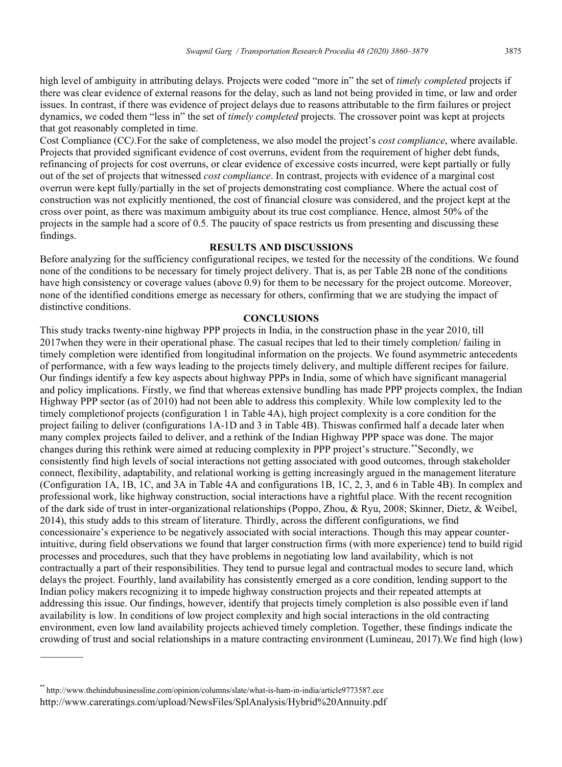high level of ambiguity in attributing delays. Projects were coded "more in" the set of *timely completed* projects if there was clear evidence of external reasons for the delay, such as land not being provided in time, or law and order issues. In contrast, if there was evidence of project delays due to reasons attributable to the firm failures or project dynamics, we coded them "less in" the set of *timely completed* projects. The crossover point was kept at projects that got reasonably completed in time.

Cost Compliance (CC*).*For the sake of completeness, we also model the project's *cost compliance*, where available. Projects that provided significant evidence of cost overruns, evident from the requirement of higher debt funds, refinancing of projects for cost overruns, or clear evidence of excessive costs incurred, were kept partially or fully out of the set of projects that witnessed *cost compliance*. In contrast, projects with evidence of a marginal cost overrun were kept fully/partially in the set of projects demonstrating cost compliance. Where the actual cost of construction was not explicitly mentioned, the cost of financial closure was considered, and the project kept at the cross over point, as there was maximum ambiguity about its true cost compliance. Hence, almost 50% of the projects in the sample had a score of 0.5. The paucity of space restricts us from presenting and discussing these findings.

# **RESULTS AND DISCUSSIONS**

Before analyzing for the sufficiency configurational recipes, we tested for the necessity of the conditions. We found none of the conditions to be necessary for timely project delivery. That is, as per Table 2B none of the conditions have high consistency or coverage values (above 0.9) for them to be necessary for the project outcome. Moreover, none of the identified conditions emerge as necessary for others, confirming that we are studying the impact of distinctive conditions.

#### **CONCLUSIONS**

This study tracks twenty-nine highway PPP projects in India, in the construction phase in the year 2010, till 2017when they were in their operational phase. The casual recipes that led to their timely completion/ failing in timely completion were identified from longitudinal information on the projects. We found asymmetric antecedents of performance, with a few ways leading to the projects timely delivery, and multiple different recipes for failure. Our findings identify a few key aspects about highway PPPs in India, some of which have significant managerial and policy implications. Firstly, we find that whereas extensive bundling has made PPP projects complex, the Indian Highway PPP sector (as of 2010) had not been able to address this complexity. While low complexity led to the timely completionof projects (configuration 1 in Table 4A), high project complexity is a core condition for the project failing to deliver (configurations 1A-1D and 3 in Table 4B). Thiswas confirmed half a decade later when many complex projects failed to deliver, and a rethink of the Indian Highway PPP space was done. The major changes during this rethink were aimed at reducing complexity in PPP project's structure.\*\*Secondly, we consistently find high levels of social interactions not getting associated with good outcomes, through stakeholder connect, flexibility, adaptability, and relational working is getting increasingly argued in the management literature (Configuration 1A, 1B, 1C, and 3A in Table 4A and configurations 1B, 1C, 2, 3, and 6 in Table 4B). In complex and professional work, like highway construction, social interactions have a rightful place. With the recent recognition of the dark side of trust in inter-organizational relationships (Poppo, Zhou, & Ryu, 2008; Skinner, Dietz, & Weibel, 2014), this study adds to this stream of literature. Thirdly, across the different configurations, we find concessionaire's experience to be negatively associated with social interactions. Though this may appear counterintuitive, during field observations we found that larger construction firms (with more experience) tend to build rigid processes and procedures, such that they have problems in negotiating low land availability, which is not contractually a part of their responsibilities. They tend to pursue legal and contractual modes to secure land, which delays the project. Fourthly, land availability has consistently emerged as a core condition, lending support to the Indian policy makers recognizing it to impede highway construction projects and their repeated attempts at addressing this issue. Our findings, however, identify that projects timely completion is also possible even if land availability is low. In conditions of low project complexity and high social interactions in the old contracting environment, even low land availability projects achieved timely completion. Together, these findings indicate the crowding of trust and social relationships in a mature contracting environment (Lumineau, 2017).We find high (low)

<sup>\*\*</sup> http://www.thehindubusinessline.com/opinion/columns/slate/what-is-ham-in-india/article9773587.ece http://www.careratings.com/upload/NewsFiles/SplAnalysis/Hybrid%20Annuity.pdf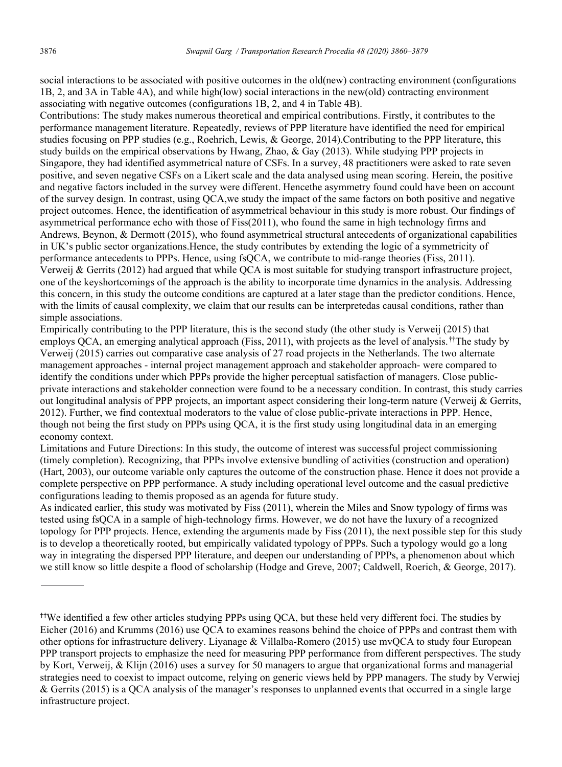social interactions to be associated with positive outcomes in the old(new) contracting environment (configurations 1B, 2, and 3A in Table 4A), and while high(low) social interactions in the new(old) contracting environment associating with negative outcomes (configurations 1B, 2, and 4 in Table 4B).

Contributions: The study makes numerous theoretical and empirical contributions. Firstly, it contributes to the performance management literature. Repeatedly, reviews of PPP literature have identified the need for empirical studies focusing on PPP studies (e.g., Roehrich, Lewis, & George, 2014).Contributing to the PPP literature, this study builds on the empirical observations by Hwang, Zhao, & Gay (2013). While studying PPP projects in Singapore, they had identified asymmetrical nature of CSFs. In a survey, 48 practitioners were asked to rate seven positive, and seven negative CSFs on a Likert scale and the data analysed using mean scoring. Herein, the positive and negative factors included in the survey were different. Hencethe asymmetry found could have been on account of the survey design. In contrast, using QCA,we study the impact of the same factors on both positive and negative project outcomes. Hence, the identification of asymmetrical behaviour in this study is more robust. Our findings of asymmetrical performance echo with those of Fiss(2011), who found the same in high technology firms and Andrews, Beynon, & Dermott (2015), who found asymmetrical structural antecedents of organizational capabilities in UK's public sector organizations.Hence, the study contributes by extending the logic of a symmetricity of performance antecedents to PPPs. Hence, using fsQCA, we contribute to mid-range theories (Fiss, 2011). Verweij & Gerrits (2012) had argued that while QCA is most suitable for studying transport infrastructure project, one of the keyshortcomings of the approach is the ability to incorporate time dynamics in the analysis. Addressing this concern, in this study the outcome conditions are captured at a later stage than the predictor conditions. Hence, with the limits of causal complexity, we claim that our results can be interpretedas causal conditions, rather than simple associations.

Empirically contributing to the PPP literature, this is the second study (the other study is Verweij (2015) that employs QCA, an emerging analytical approach (Fiss, 2011), with projects as the level of analysis.<sup>††</sup>The study by Verweij (2015) carries out comparative case analysis of 27 road projects in the Netherlands. The two alternate management approaches - internal project management approach and stakeholder approach- were compared to identify the conditions under which PPPs provide the higher perceptual satisfaction of managers. Close publicprivate interactions and stakeholder connection were found to be a necessary condition. In contrast, this study carries out longitudinal analysis of PPP projects, an important aspect considering their long-term nature (Verweij & Gerrits, 2012). Further, we find contextual moderators to the value of close public-private interactions in PPP. Hence, though not being the first study on PPPs using QCA, it is the first study using longitudinal data in an emerging economy context.

Limitations and Future Directions: In this study, the outcome of interest was successful project commissioning (timely completion). Recognizing, that PPPs involve extensive bundling of activities (construction and operation) (Hart, 2003), our outcome variable only captures the outcome of the construction phase. Hence it does not provide a complete perspective on PPP performance. A study including operational level outcome and the casual predictive configurations leading to themis proposed as an agenda for future study.

As indicated earlier, this study was motivated by Fiss (2011), wherein the Miles and Snow typology of firms was tested using fsQCA in a sample of high-technology firms. However, we do not have the luxury of a recognized topology for PPP projects. Hence, extending the arguments made by Fiss (2011), the next possible step for this study is to develop a theoretically rooted, but empirically validated typology of PPPs. Such a typology would go a long way in integrating the dispersed PPP literature, and deepen our understanding of PPPs, a phenomenon about which we still know so little despite a flood of scholarship (Hodge and Greve, 2007; Caldwell, Roerich, & George, 2017).

<sup>††</sup>We identified a few other articles studying PPPs using QCA, but these held very different foci. The studies by Eicher (2016) and Krumms (2016) use QCA to examines reasons behind the choice of PPPs and contrast them with other options for infrastructure delivery. Liyanage & Villalba-Romero (2015) use mvQCA to study four European PPP transport projects to emphasize the need for measuring PPP performance from different perspectives. The study by Kort, Verweij, & Klijn (2016) uses a survey for 50 managers to argue that organizational forms and managerial strategies need to coexist to impact outcome, relying on generic views held by PPP managers. The study by Verwiej & Gerrits (2015) is a QCA analysis of the manager's responses to unplanned events that occurred in a single large infrastructure project.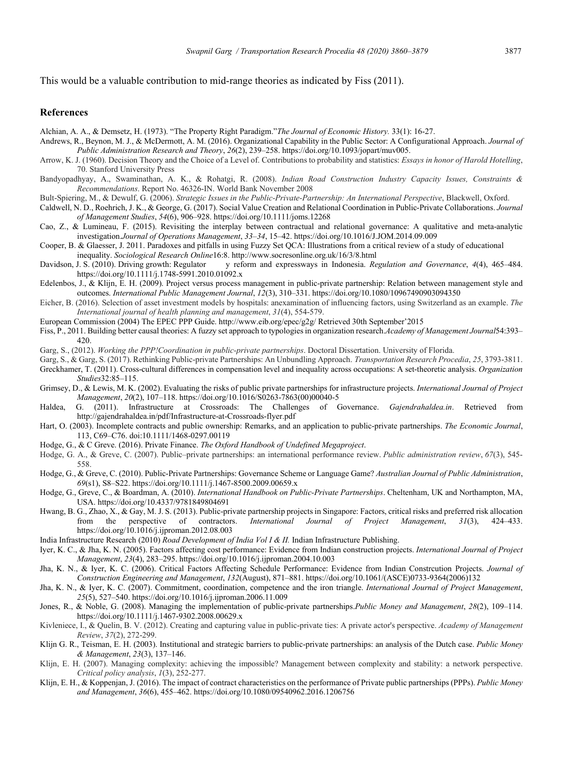This would be a valuable contribution to mid-range theories as indicated by Fiss (2011).

#### **References**

Alchian, A. A., & Demsetz, H. (1973). "The Property Right Paradigm."*The Journal of Economic History.* 33(1): 16-27.

- Andrews, R., Beynon, M. J., & McDermott, A. M. (2016). Organizational Capability in the Public Sector: A Configurational Approach. *Journal of Public Administration Research and Theory*, *26*(2), 239–258. https://doi.org/10.1093/jopart/muv005.
- Arrow, K. J. (1960). Decision Theory and the Choice of a Level of. Contributions to probability and statistics: *Essays in honor of Harold Hotelling*, 70. Stanford University Press
- Bandyopadhyay, A., Swaminathan, A. K., & Rohatgi, R. (2008). *Indian Road Construction Industry Capacity Issues, Constraints & Recommendations*. Report No. 46326-IN. World Bank November 2008

Bult-Spiering, M., & Dewulf, G. (2006). *Strategic Issues in the Public-Private-Partnership: An International Perspective*, Blackwell, Oxford.

- Caldwell, N. D., Roehrich, J. K., & George, G. (2017). Social Value Creation and Relational Coordination in Public-Private Collaborations. *Journal of Management Studies*, *54*(6), 906–928. https://doi.org/10.1111/joms.12268
- Cao, Z., & Lumineau, F. (2015). Revisiting the interplay between contractual and relational governance: A qualitative and meta-analytic investigation.*Journal of Operations Management*, *33*–*34*, 15–42. https://doi.org/10.1016/J.JOM.2014.09.009
- Cooper, B. & Glaesser, J. 2011. Paradoxes and pitfalls in using Fuzzy Set QCA: Illustrations from a critical review of a study of educational inequality. *Sociological Research Online*16:8. http://www.socresonline.org.uk/16/3/8.html
- y reform and expressways in Indonesia. *Regulation and Governance*, 4(4), 465–484. https://doi.org/10.1111/j.1748-5991.2010.01092.x
- Edelenbos, J., & Klijn, E. H. (2009). Project versus process management in public-private partnership: Relation between management style and outcomes. *International Public Management Journal*, *12*(3), 310–331. https://doi.org/10.1080/10967490903094350
- Eicher, B. (2016). Selection of asset investment models by hospitals: anexamination of influencing factors, using Switzerland as an example. *The International journal of health planning and management*, *31*(4), 554-579.
- European Commission (2004) The EPEC PPP Guide. http://www.eib.org/epec/g2g/ Retrieved 30th September'2015
- Fiss, P., 2011. Building better causal theories: A fuzzy set approach to typologies in organization research.*Academy of Management Journal*54:393– 420.
- Garg, S., (2012). *Working the PPP!Coordination in public-private partnerships*. Doctoral Dissertation. University of Florida.
- Garg, S., & Garg, S. (2017). Rethinking Public-private Partnerships: An Unbundling Approach. *Transportation Research Procedia*, *25*, 3793-3811.
- Greckhamer, T. (2011). Cross-cultural differences in compensation level and inequality across occupations: A set-theoretic analysis. *Organization Studies*32:85–115.
- Grimsey, D., & Lewis, M. K. (2002). Evaluating the risks of public private partnerships for infrastructure projects. *International Journal of Project Management*, *20*(2), 107–118. https://doi.org/10.1016/S0263-7863(00)00040-5
- Haldea, G. (2011). Infrastructure at Crossroads: The Challenges of Governance. *Gajendrahaldea.in*. Retrieved from http://gajendrahaldea.in/pdf/Infrastructure-at-Crossroads-flyer.pdf
- Hart, O. (2003). Incomplete contracts and public ownership: Remarks, and an application to public-private partnerships. *The Economic Journal*, 113, C69–C76. doi:10.1111/1468-0297.00119
- Hodge, G., & C Greve. (2016). Private Finance. *The Oxford Handbook of Undefined Megaproject*.
- Hodge, G. A., & Greve, C. (2007). Public–private partnerships: an international performance review. *Public administration review*, *67*(3), 545- 558.
- Hodge, G., & Greve, C. (2010). Public-Private Partnerships: Governance Scheme or Language Game? *Australian Journal of Public Administration*, *69*(s1), S8–S22. https://doi.org/10.1111/j.1467-8500.2009.00659.x
- Hodge, G., Greve, C., & Boardman, A. (2010). *International Handbook on Public-Private Partnerships*. Cheltenham, UK and Northampton, MA, USA. https://doi.org/10.4337/9781849804691
- Hwang, B. G., Zhao, X., & Gay, M. J. S. (2013). Public-private partnership projects in Singapore: Factors, critical risks and preferred risk allocation from the perspective of contractors. *International Journal of Project* from the perspective of contractors. *International Journal of Project Management*, *31*(3), 424–433. https://doi.org/10.1016/j.ijproman.2012.08.003
- India Infrastructure Research (2010) *Road Development of India Vol I & II.* Indian Infrastructure Publishing.
- Iyer, K. C., & Jha, K. N. (2005). Factors affecting cost performance: Evidence from Indian construction projects. *International Journal of Project Management*, *23*(4), 283–295. https://doi.org/10.1016/j.ijproman.2004.10.003
- Jha, K. N., & Iyer, K. C. (2006). Critical Factors Affecting Schedule Performance: Evidence from Indian Constrcution Projects. *Journal of Construction Engineering and Management*, *132*(August), 871–881. https://doi.org/10.1061/(ASCE)0733-9364(2006)132
- Jha, K. N., & Iyer, K. C. (2007). Commitment, coordination, competence and the iron triangle. *International Journal of Project Management*, *25*(5), 527–540. https://doi.org/10.1016/j.ijproman.2006.11.009
- Jones, R., & Noble, G. (2008). Managing the implementation of public-private partnerships.*Public Money and Management*, *28*(2), 109–114. https://doi.org/10.1111/j.1467-9302.2008.00629.x
- Kivleniece, I., & Quelin, B. V. (2012). Creating and capturing value in public-private ties: A private actor's perspective. *Academy of Management Review*, *37*(2), 272-299.
- Klijn G. R., Teisman, E. H. (2003). Institutional and strategic barriers to public-private partnerships: an analysis of the Dutch case. *Public Money & Management*, *23*(3), 137–146.
- Klijn, E. H. (2007). Managing complexity: achieving the impossible? Management between complexity and stability: a network perspective. *Critical policy analysis*, *1*(3), 252-277.
- Klijn, E. H., & Koppenjan, J. (2016). The impact of contract characteristics on the performance of Private public partnerships (PPPs). *Public Money and Management*, *36*(6), 455–462. https://doi.org/10.1080/09540962.2016.1206756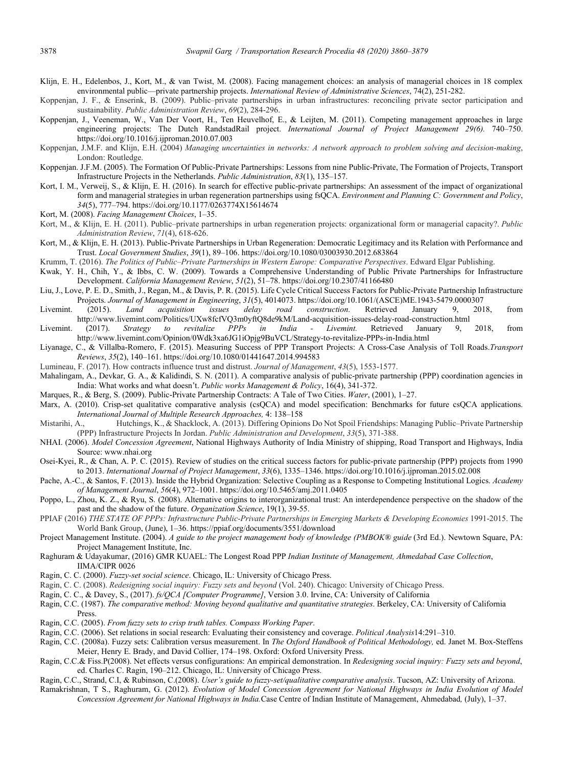- Klijn, E. H., Edelenbos, J., Kort, M., & van Twist, M. (2008). Facing management choices: an analysis of managerial choices in 18 complex environmental public—private partnership projects. *International Review of Administrative Sciences*, 74(2), 251-282.
- Koppenjan, J. F., & Enserink, B. (2009). Public–private partnerships in urban infrastructures: reconciling private sector participation and sustainability. *Public Administration Review*, *69*(2), 284-296.
- Koppenjan, J., Veeneman, W., Van Der Voort, H., Ten Heuvelhof, E., & Leijten, M. (2011). Competing management approaches in large engineering projects: The Dutch RandstadRail project. *International Journal of Project Management 29(6).* 740–750. https://doi.org/10.1016/j.ijproman.2010.07.003
- Koppenjan, J.M.F. and Klijn, E.H. (2004) *Managing uncertainties in networks: A network approach to problem solving and decision-making*, London: Routledge.
- Koppenjan. J.F.M. (2005). The Formation Of Public-Private Partnerships: Lessons from nine Public-Private, The Formation of Projects, Transport Infrastructure Projects in the Netherlands. *Public Administration*, *83*(1), 135–157.
- Kort, I. M., Verweij, S., & Klijn, E. H. (2016). In search for effective public-private partnerships: An assessment of the impact of organizational form and managerial strategies in urban regeneration partnerships using fsQCA. *Environment and Planning C: Government and Policy*, *34*(5), 777–794. https://doi.org/10.1177/0263774X15614674
- Kort, M. (2008). *Facing Management Choices*, 1–35.
- Kort, M., & Klijn, E. H. (2011). Public–private partnerships in urban regeneration projects: organizational form or managerial capacity?. *Public Administration Review*, *71*(4), 618-626.
- Kort, M., & Klijn, E. H. (2013). Public-Private Partnerships in Urban Regeneration: Democratic Legitimacy and its Relation with Performance and Trust. *Local Government Studies*, *39*(1), 89–106. https://doi.org/10.1080/03003930.2012.683864
- Krumm, T. (2016). *The Politics of Public–Private Partnerships in Western Europe: Comparative Perspectives*. Edward Elgar Publishing.
- Kwak, Y. H., Chih, Y., & Ibbs, C. W. (2009). Towards a Comprehensive Understanding of Public Private Partnerships for Infrastructure Development. *California Management Review*, *51*(2), 51–78. https://doi.org/10.2307/41166480
- Liu, J., Love, P. E. D., Smith, J., Regan, M., & Davis, P. R. (2015). Life Cycle Critical Success Factors for Public-Private Partnership Infrastructure Projects. *Journal of Management in Engineering*, *31*(5), 4014073. https://doi.org/10.1061/(ASCE)ME.1943-5479.0000307
- Livemint. (2015). *Land acquisition issues delay road construction*. Retrieved January 9, 2018, from
- http://www.livemint.com/Politics/UXw8fcfVQ3m0yftQ8de9kM/Land-acquisition-issues-delay-road-construction.html (2017). Strategy to revitalize PPPs in India Livemint. Retrieved January 9, Livemint. (2017). *Strategy to revitalize PPPs in India - Livemint.* Retrieved January 9, 2018, from http://www.livemint.com/Opinion/0Wdk3xa6JG1iOpjg9BuVCL/Strategy-to-revitalize-PPPs-in-India.html
- Liyanage, C., & Villalba-Romero, F. (2015). Measuring Success of PPP Transport Projects: A Cross-Case Analysis of Toll Roads.*Transport Reviews*, *35*(2), 140–161. https://doi.org/10.1080/01441647.2014.994583
- Lumineau, F. (2017). How contracts influence trust and distrust. *Journal of Management*, *43*(5), 1553-1577.
- Mahalingam, A., Devkar, G. A., & Kalidindi, S. N. (2011). A comparative analysis of public-private partnership (PPP) coordination agencies in India: What works and what doesn't. *Public works Management & Policy*, 16(4), 341-372.
- Marques, R., & Berg, S. (2009). Public-Private Partnership Contracts: A Tale of Two Cities. *Water*, (2001), 1–27.
- Marx, A. (2010). Crisp-set qualitative comparative analysis (csQCA) and model specification: Benchmarks for future csQCA applications. *International Journal of Multiple Research Approaches,* 4: 138–158
- Mistarihi, A., Hutchings, K., & Shacklock, A. (2013). Differing Opinions Do Not Spoil Friendships: Managing Public–Private Partnership (PPP) Infrastructure Projects In Jordan. *Public Administration and Development*, *33*(5), 371-388.
- NHAI. (2006). *Model Concession Agreement*, National Highways Authority of India Ministry of shipping, Road Transport and Highways, India Source: www.nhai.org
- Osei-Kyei, R., & Chan, A. P. C. (2015). Review of studies on the critical success factors for public-private partnership (PPP) projects from 1990 to 2013. *International Journal of Project Management*, *33*(6), 1335–1346. https://doi.org/10.1016/j.ijproman.2015.02.008
- Pache, A.-C., & Santos, F. (2013). Inside the Hybrid Organization: Selective Coupling as a Response to Competing Institutional Logics. *Academy of Management Journal*, *56*(4), 972–1001. https://doi.org/10.5465/amj.2011.0405
- Poppo, L., Zhou, K. Z., & Ryu, S. (2008). Alternative origins to interorganizational trust: An interdependence perspective on the shadow of the past and the shadow of the future. *Organization Science*, 19(1), 39-55.
- PPIAF (2016) *THE STATE OF PPPs: Infrastructure Public-Private Partnerships in Emerging Markets & Developing Economies* 1991-2015. The World Bank Group, (June), 1–36. https://ppiaf.org/documents/3551/download
- Project Management Institute. (2004). *A guide to the project management body of knowledge (PMBOK® guide* (3rd Ed.). Newtown Square, PA: Project Management Institute, Inc.
- Raghuram & Udayakumar, (2016) GMR KUAEL: The Longest Road PPP *Indian Institute of Management, Ahmedabad Case Collection*, IIMA/CIPR 0026
- Ragin, C. C. (2000). *Fuzzy-set social science*. Chicago, IL: University of Chicago Press.
- Ragin, C. C. (2008). *Redesigning social inquiry: Fuzzy sets and beyond* (Vol. 240). Chicago: University of Chicago Press.
- Ragin, C. C., & Davey, S., (2017). *fs/QCA [Computer Programme]*, Version 3.0. Irvine, CA: University of California
- Ragin, C.C. (1987). *The comparative method: Moving beyond qualitative and quantitative strategies*. Berkeley, CA: University of California Press.
- Ragin, C.C. (2005). *From fuzzy sets to crisp truth tables. Compass Working Paper*.
- Ragin, C.C. (2006). Set relations in social research: Evaluating their consistency and coverage. *Political Analysis*14:291–310.
- Ragin, C.C. (2008a). Fuzzy sets: Calibration versus measurement. In *The Oxford Handbook of Political Methodology,* ed. Janet M. Box-Steffens Meier, Henry E. Brady, and David Collier, 174–198. Oxford: Oxford University Press.
- Ragin, C.C.& Fiss.P(2008). Net effects versus configurations: An empirical demonstration. In *Redesigning social inquiry: Fuzzy sets and beyond*, ed. Charles C. Ragin, 190–212. Chicago, IL: University of Chicago Press.
- Ragin, C.C., Strand, C.I, & Rubinson, C.(2008). *User's guide to fuzzy-set/qualitative comparative analysis*. Tucson, AZ: University of Arizona.
- Ramakrishnan, T S., Raghuram, G. (2012). *Evolution of Model Concession Agreement for National Highways in India Evolution of Model Concession Agreement for National Highways in India.*Case Centre of Indian Institute of Management, Ahmedabad*,* (July), 1–37.